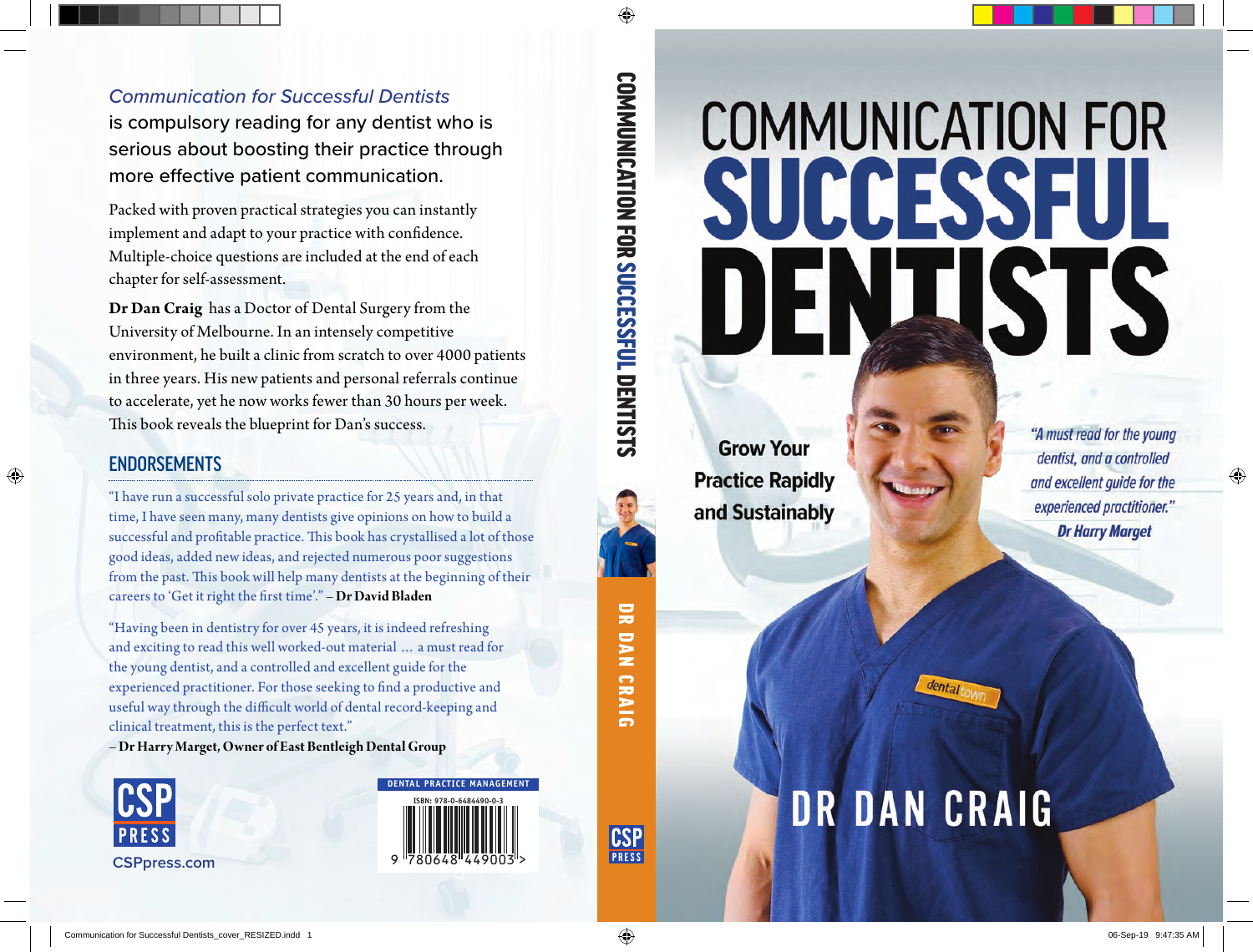# COMMUNICATION FOR<br>
SUCCESSFUL<br>
TRISTS<br>
Tractice Rapidly<br>
Practice Rapidly<br>
Practice Rapidly<br>
PRIDAN CRAIG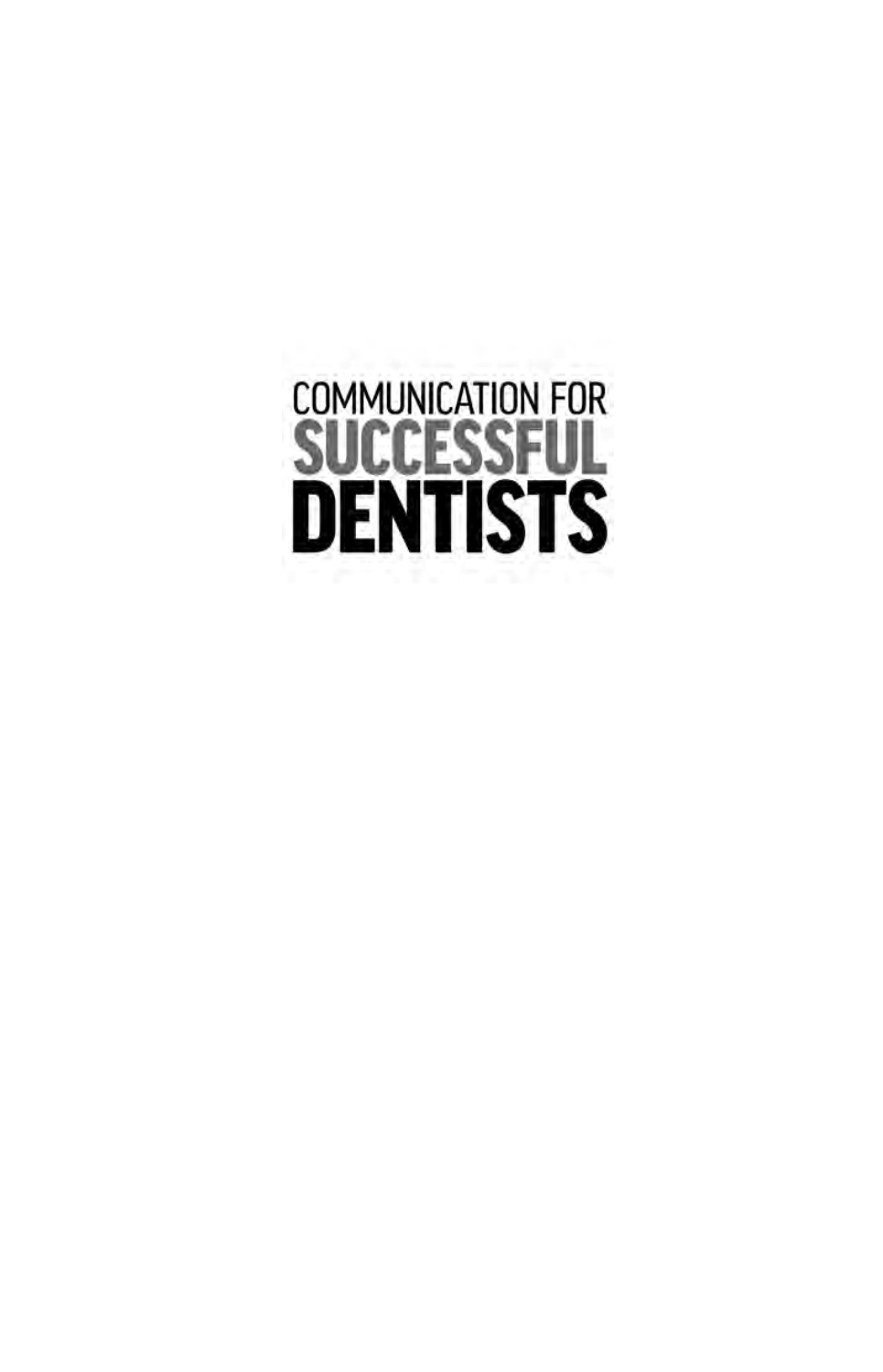# **COMMUNICATION FOR SUCCESSFUL**<br>**DENTISTS**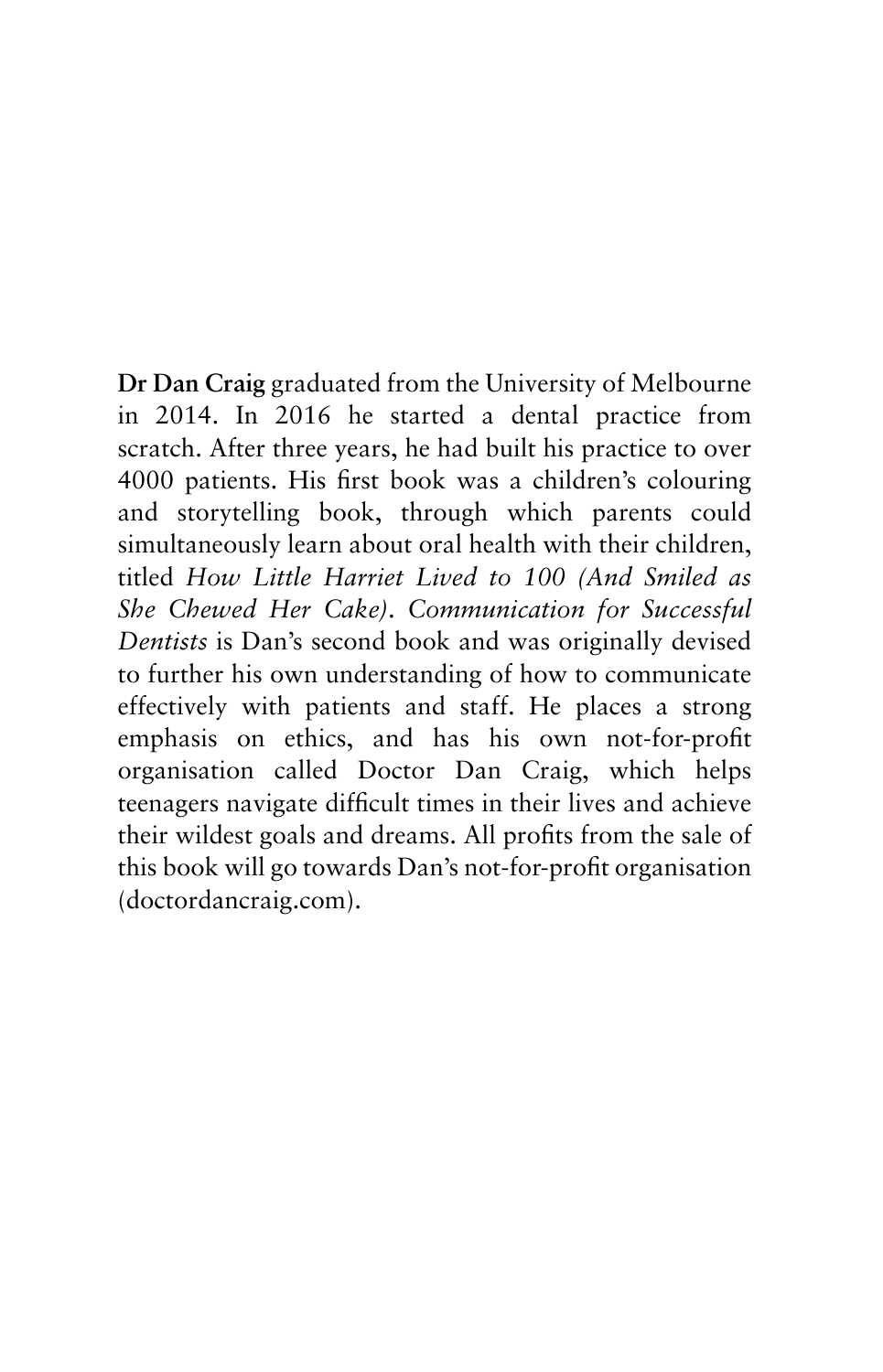**Dr Dan Craig** graduated from the University of Melbourne in 2014. In 2016 he started a dental practice from scratch. After three years, he had built his practice to over 4000 patients. His first book was a children's colouring and storytelling book, through which parents could simultaneously learn about oral health with their children, titled *How Little Harriet Lived to 100 (And Smiled as She Chewed Her Cake)*. *Communication for Successful Dentists* is Dan's second book and was originally devised to further his own understanding of how to communicate effectively with patients and staff. He places a strong emphasis on ethics, and has his own not-for-profit organisation called Doctor Dan Craig, which helps teenagers navigate difficult times in their lives and achieve their wildest goals and dreams. All profits from the sale of this book will go towards Dan's not-for-profit organisation (doctordancraig.com).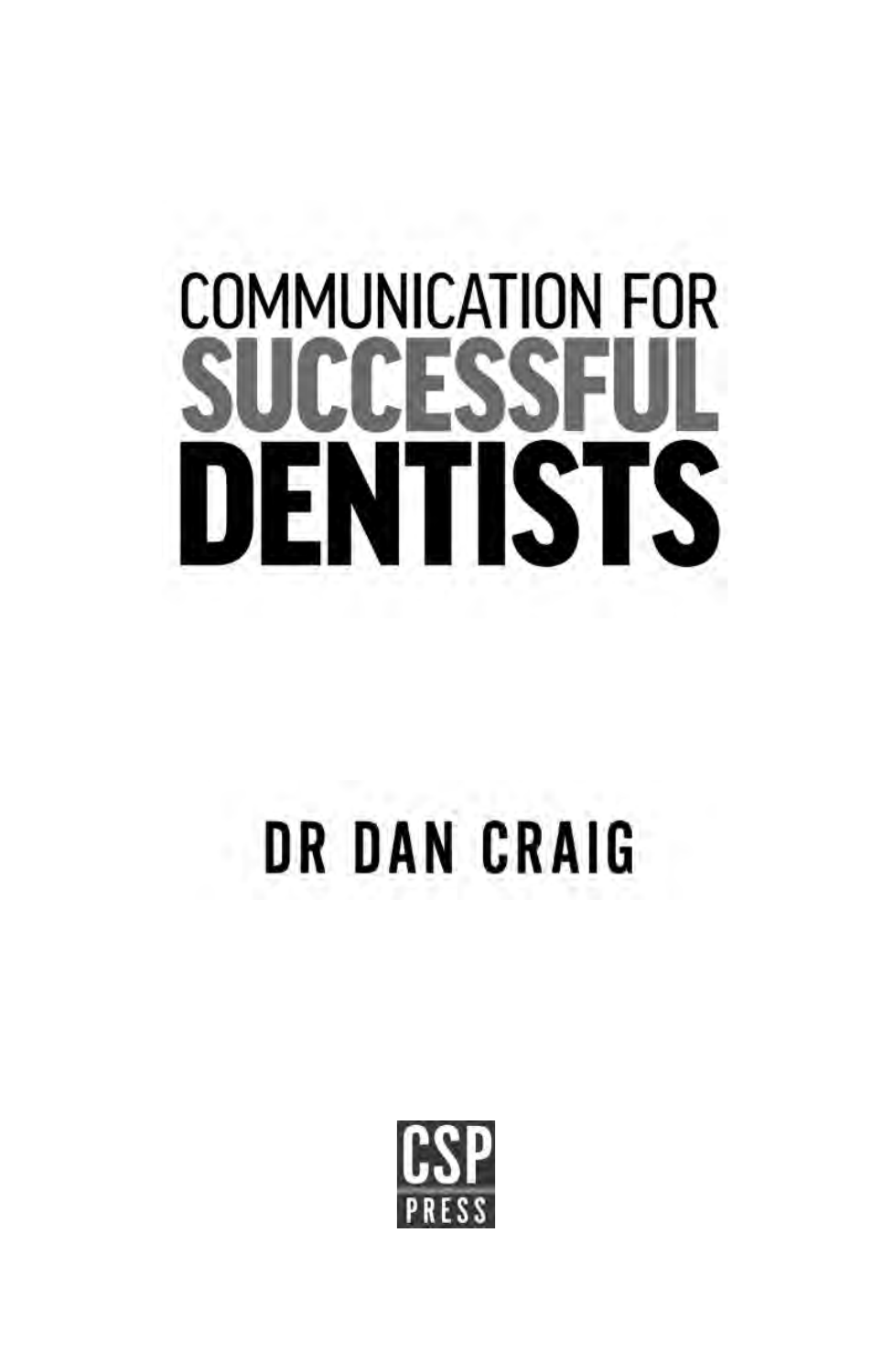# **COMMUNICATION FOR** CESS EN 1 **ISTS**

# **DR DAN CRAIG**

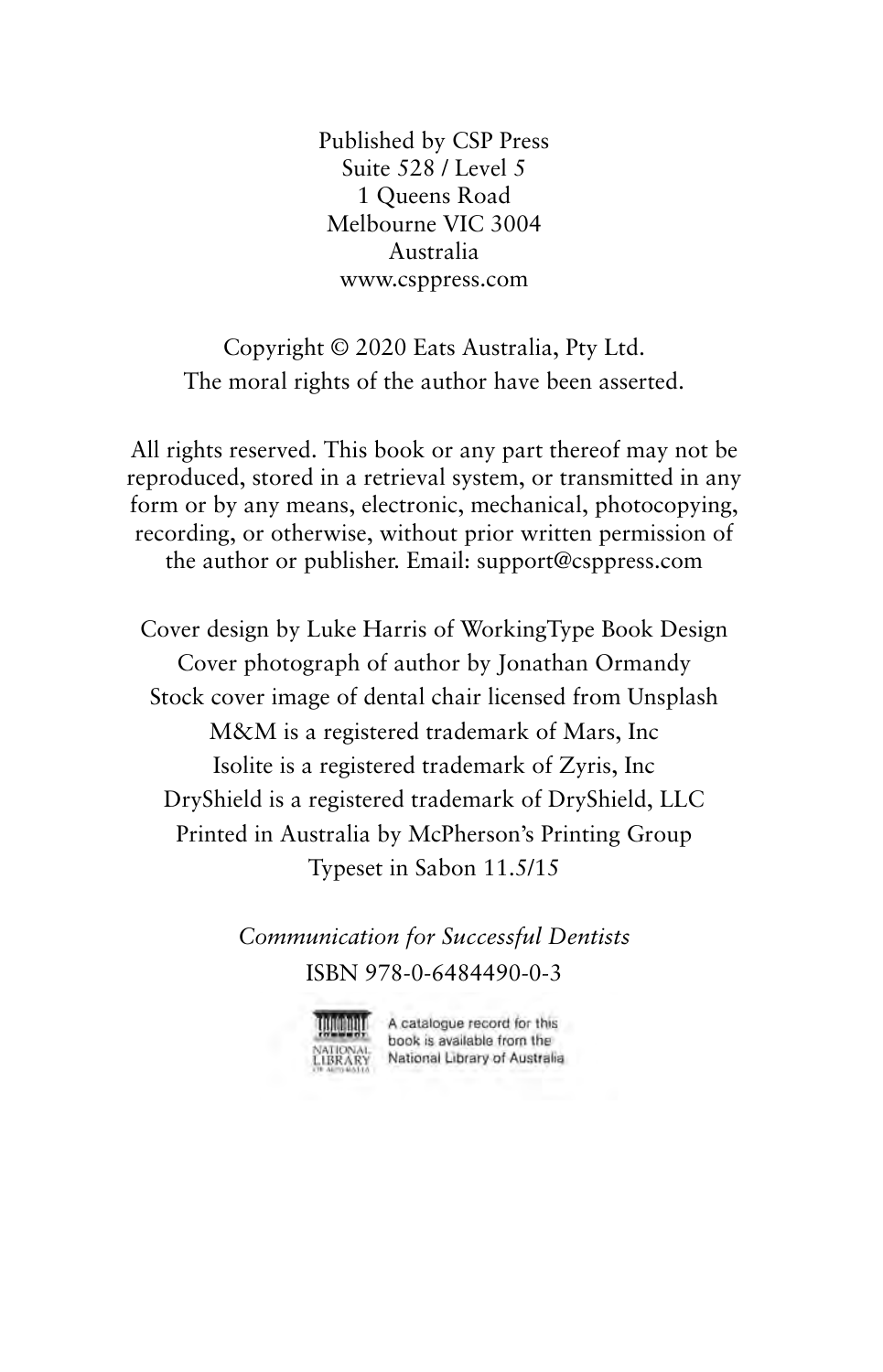Published by CSP Press Suite 528 / Level 5 1 Queens Road Melbourne VIC 3004 Australia www.csppress.com

Copyright © 2020 Eats Australia, Pty Ltd. The moral rights of the author have been asserted.

All rights reserved. This book or any part thereof may not be reproduced, stored in a retrieval system, or transmitted in any form or by any means, electronic, mechanical, photocopying, recording, or otherwise, without prior written permission of the author or publisher. Email: support@csppress.com

Cover design by Luke Harris of WorkingType Book Design Cover photograph of author by Jonathan Ormandy Stock cover image of dental chair licensed from Unsplash M&M is a registered trademark of Mars, Inc Isolite is a registered trademark of Zyris, Inc DryShield is a registered trademark of DryShield, LLC Printed in Australia by McPherson's Printing Group Typeset in Sabon 11.5/15

> *Communication for Successful Dentists* ISBN 978-0-6484490-0-3



A catalogue record for this book is available from the National Library of Australia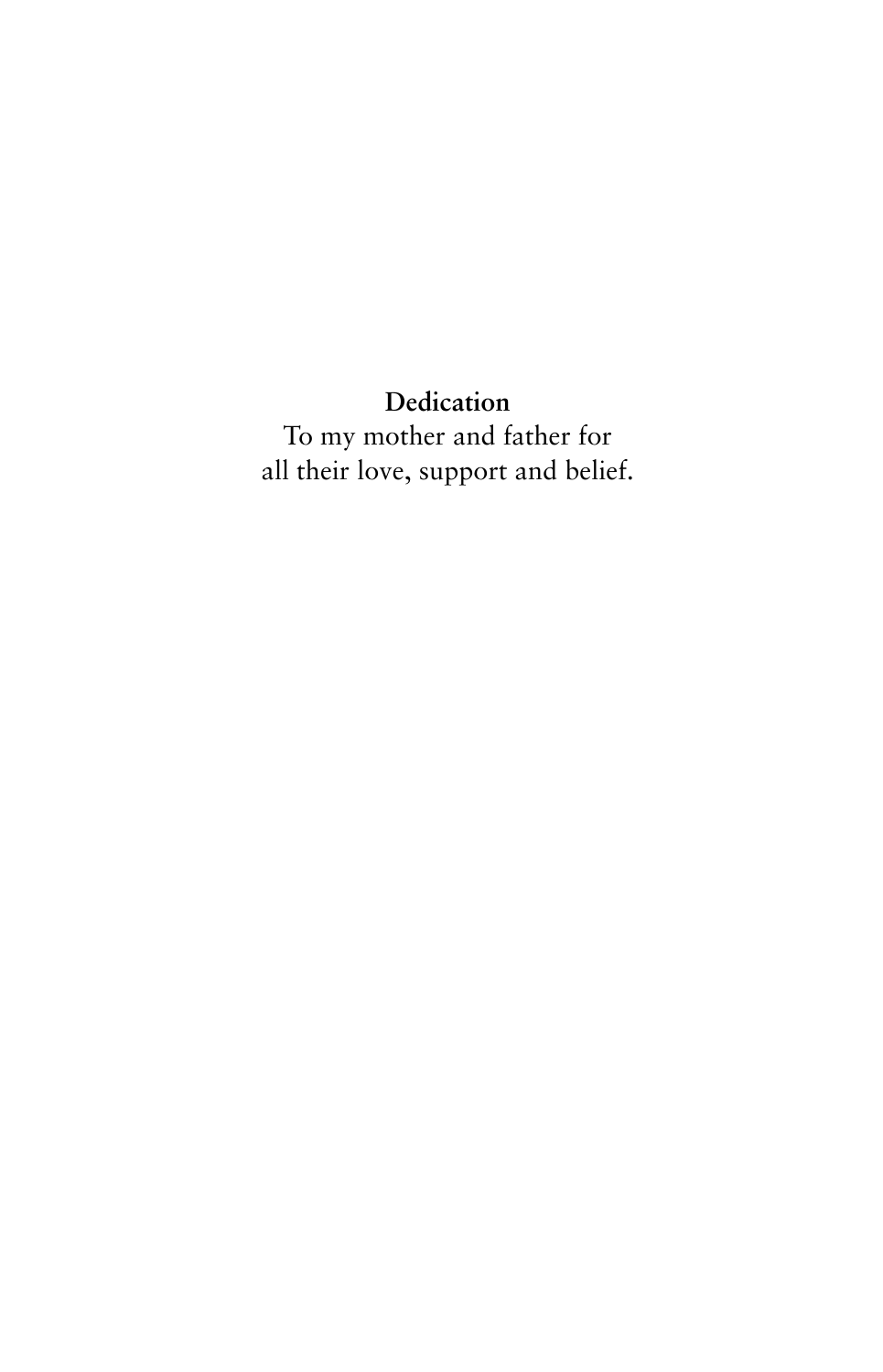**Dedication** To my mother and father for all their love, support and belief.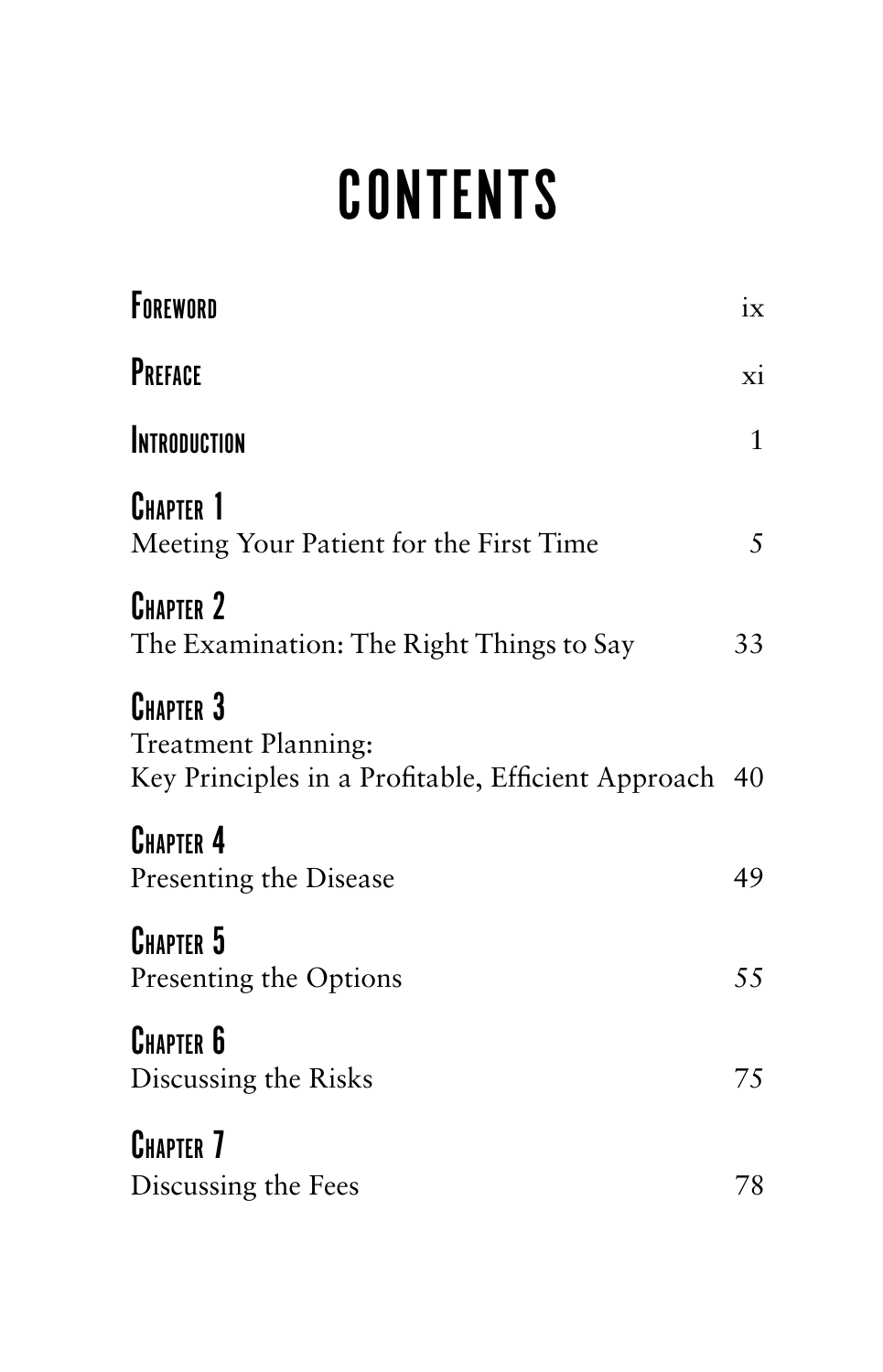# **CONTENTS**

| FOREWORD                                                                                         | ix           |
|--------------------------------------------------------------------------------------------------|--------------|
| PREFACE                                                                                          | xi           |
| <b>INTRODUCTION</b>                                                                              | $\mathbf{1}$ |
| <b>CHAPTER 1</b><br>Meeting Your Patient for the First Time                                      | 5            |
| <b>CHAPTER 2</b><br>The Examination: The Right Things to Say                                     | 33           |
| <b>CHAPTER 3</b><br>Treatment Planning:<br>Key Principles in a Profitable, Efficient Approach 40 |              |
| <b>CHAPTER 4</b><br>Presenting the Disease                                                       | 49           |
| <b>CHAPTER 5</b><br>Presenting the Options                                                       | 55           |
| <b>CHAPTER 6</b><br>Discussing the Risks                                                         | 75           |
| <b>CHAPTER 7</b><br>Discussing the Fees                                                          | 78           |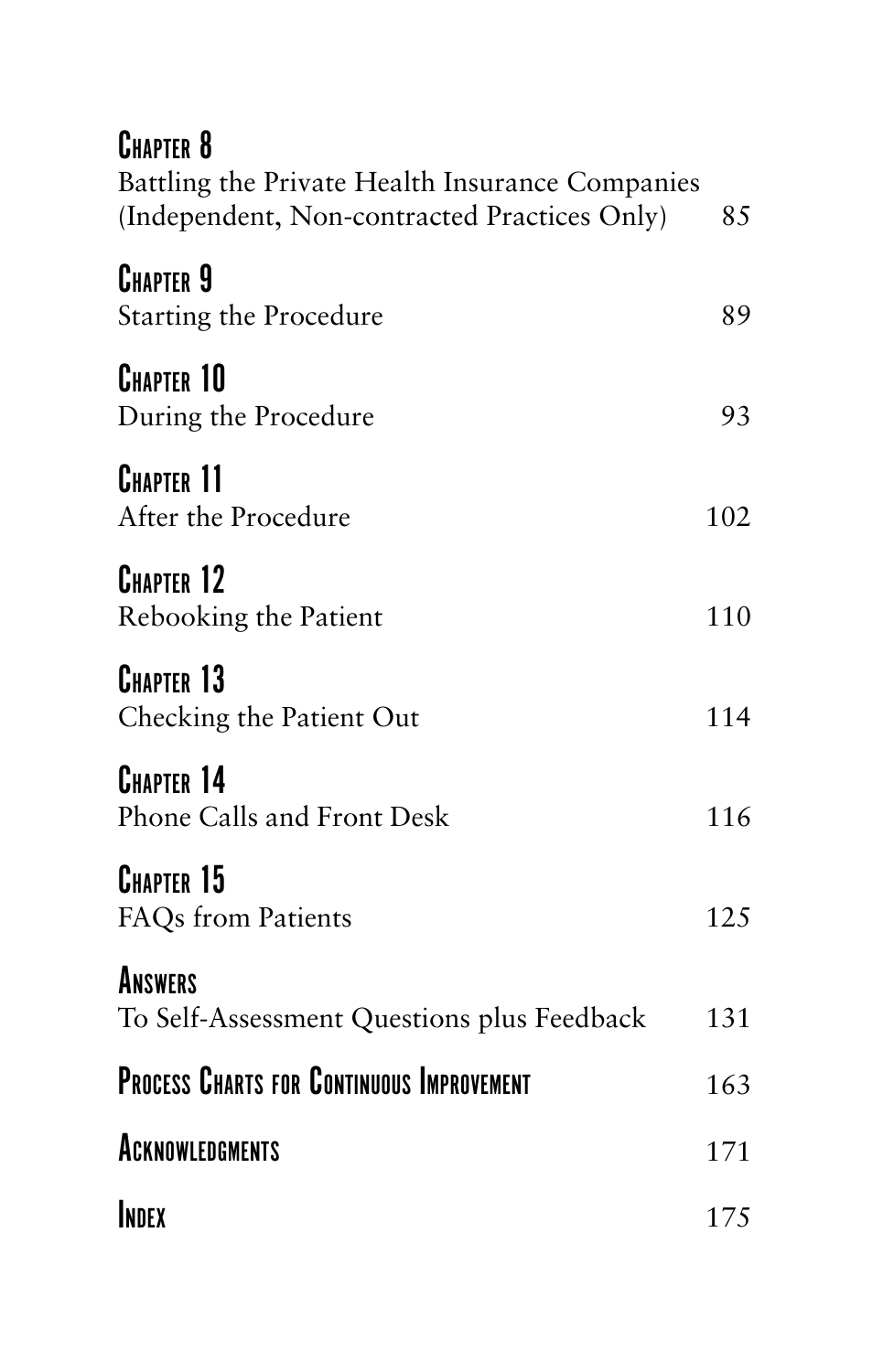| <b>CHAPTER 8</b><br>Battling the Private Health Insurance Companies<br>(Independent, Non-contracted Practices Only) | 85  |
|---------------------------------------------------------------------------------------------------------------------|-----|
| <b>CHAPTER 9</b><br>Starting the Procedure                                                                          | 89  |
| <b>CHAPTER 10</b><br>During the Procedure                                                                           | 93  |
| <b>CHAPTER 11</b><br>After the Procedure                                                                            | 102 |
| <b>CHAPTER 12</b><br>Rebooking the Patient                                                                          | 110 |
| CHAPTER 13<br>Checking the Patient Out                                                                              | 114 |
| CHAPTER 14<br>Phone Calls and Front Desk                                                                            | 116 |
| <b>CHAPTER 15</b><br>FAQs from Patients                                                                             | 125 |
| ANSWERS<br>To Self-Assessment Questions plus Feedback                                                               | 131 |
| <b>PROCESS CHARTS FOR CONTINUOUS IMPROVEMENT</b>                                                                    | 163 |
| <b>ACKNOWLEDGMENTS</b>                                                                                              | 171 |
| INDEX                                                                                                               | 175 |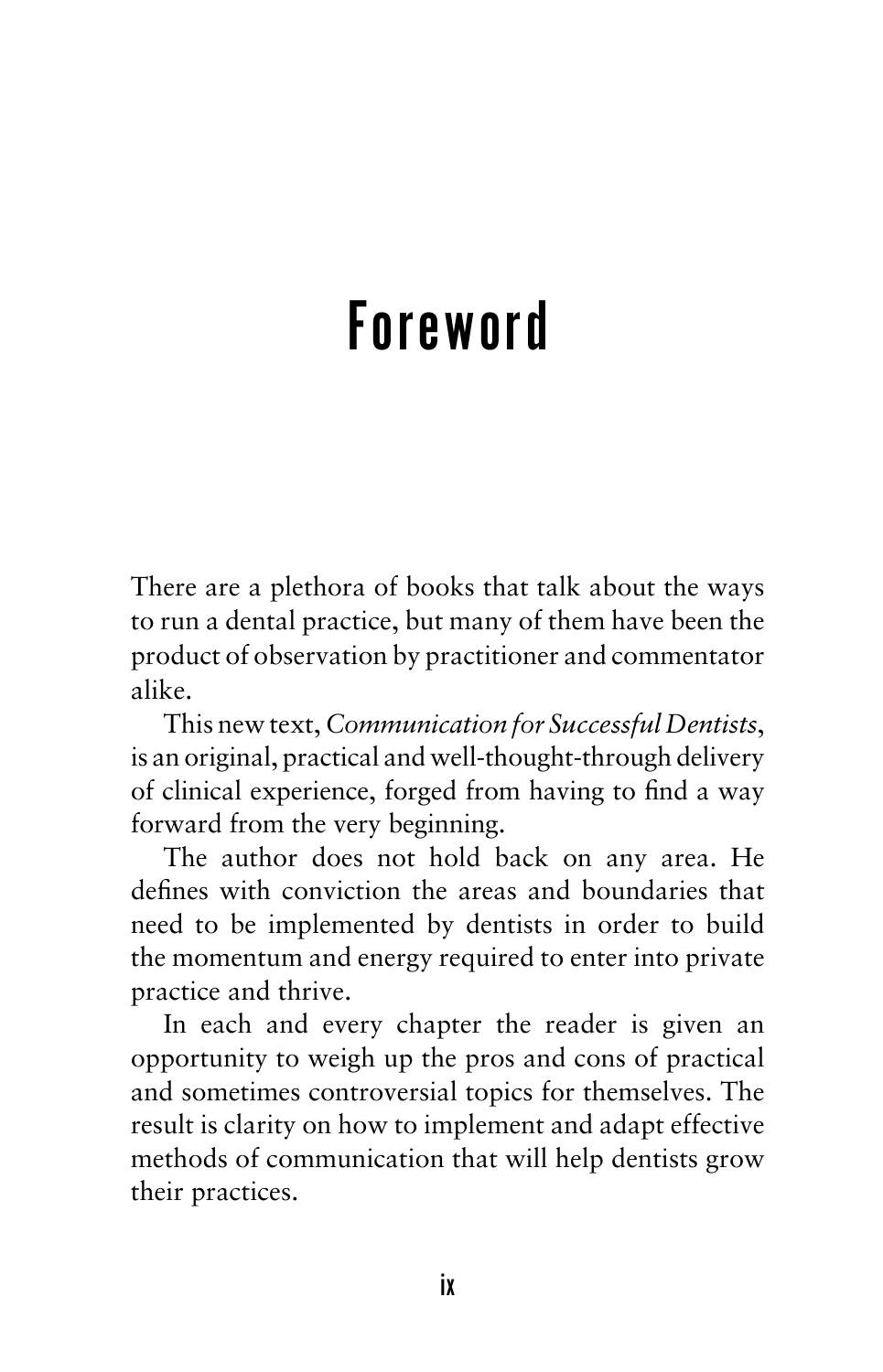# Foreword

There are a plethora of books that talk about the ways to run a dental practice, but many of them have been the product of observation by practitioner and commentator alike.

This new text, *Communication for Successful Dentists*, is an original, practical and well-thought-through delivery of clinical experience, forged from having to find a way forward from the very beginning.

The author does not hold back on any area. He defines with conviction the areas and boundaries that need to be implemented by dentists in order to build the momentum and energy required to enter into private practice and thrive.

In each and every chapter the reader is given an opportunity to weigh up the pros and cons of practical and sometimes controversial topics for themselves. The result is clarity on how to implement and adapt effective methods of communication that will help dentists grow their practices.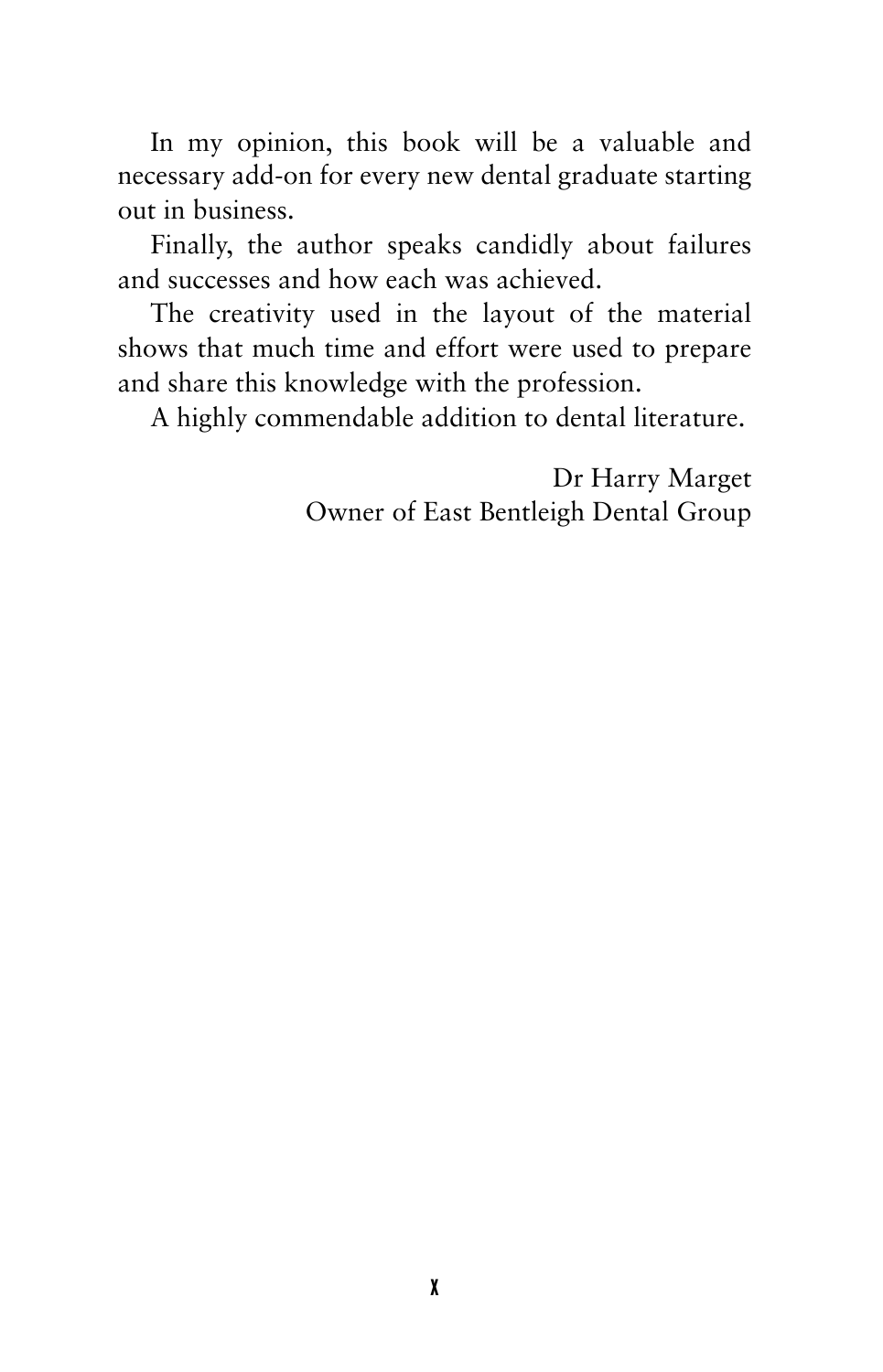In my opinion, this book will be a valuable and necessary add-on for every new dental graduate starting out in business.

Finally, the author speaks candidly about failures and successes and how each was achieved.

The creativity used in the layout of the material shows that much time and effort were used to prepare and share this knowledge with the profession.

A highly commendable addition to dental literature.

Dr Harry Marget Owner of East Bentleigh Dental Group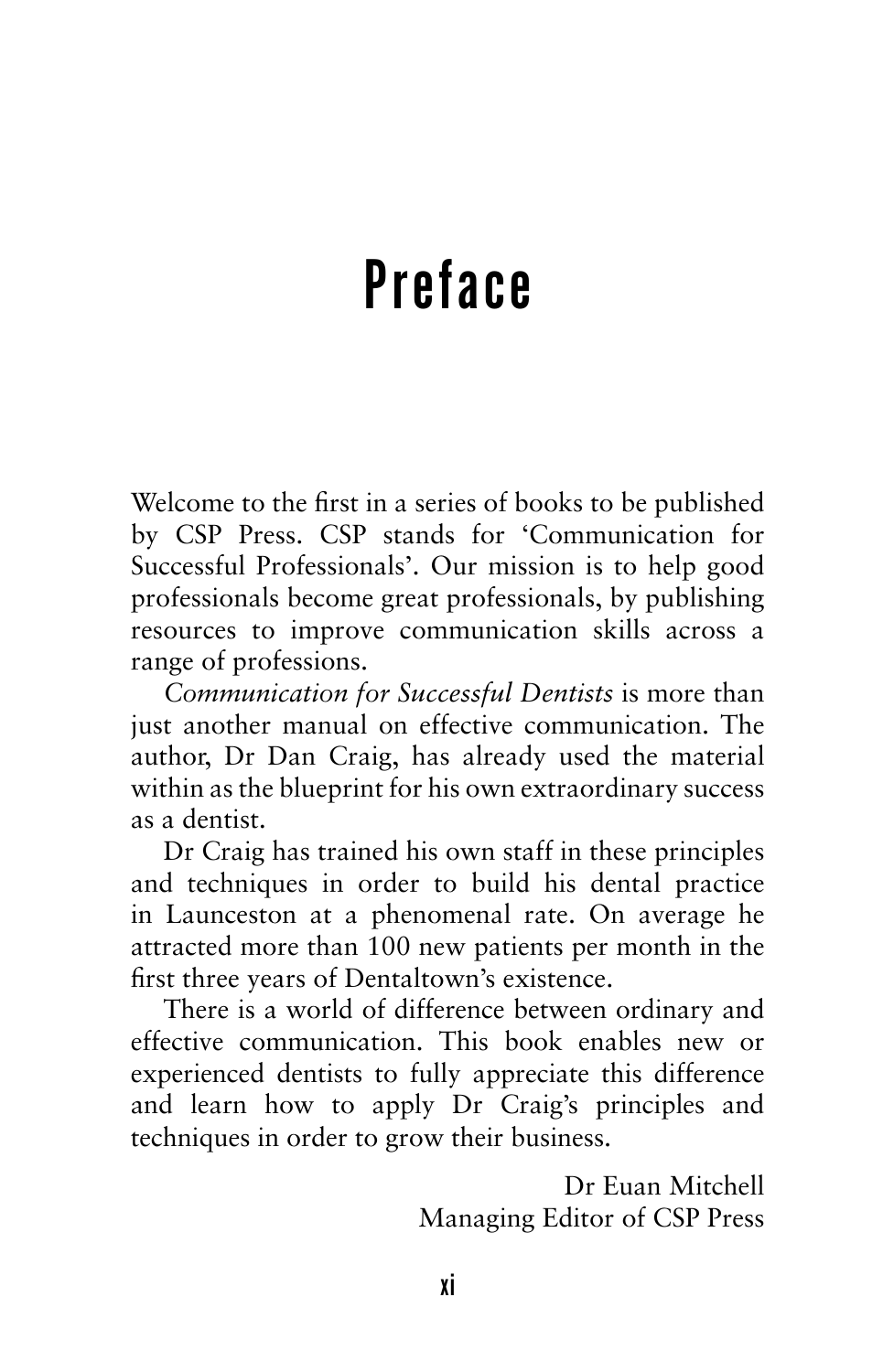# Preface

Welcome to the first in a series of books to be published by CSP Press. CSP stands for 'Communication for Successful Professionals'. Our mission is to help good professionals become great professionals, by publishing resources to improve communication skills across a range of professions.

*Communication for Successful Dentists* is more than just another manual on effective communication. The author, Dr Dan Craig, has already used the material within as the blueprint for his own extraordinary success as a dentist.

Dr Craig has trained his own staff in these principles and techniques in order to build his dental practice in Launceston at a phenomenal rate. On average he attracted more than 100 new patients per month in the first three years of Dentaltown's existence.

There is a world of difference between ordinary and effective communication. This book enables new or experienced dentists to fully appreciate this difference and learn how to apply Dr Craig's principles and techniques in order to grow their business.

> Dr Euan Mitchell Managing Editor of CSP Press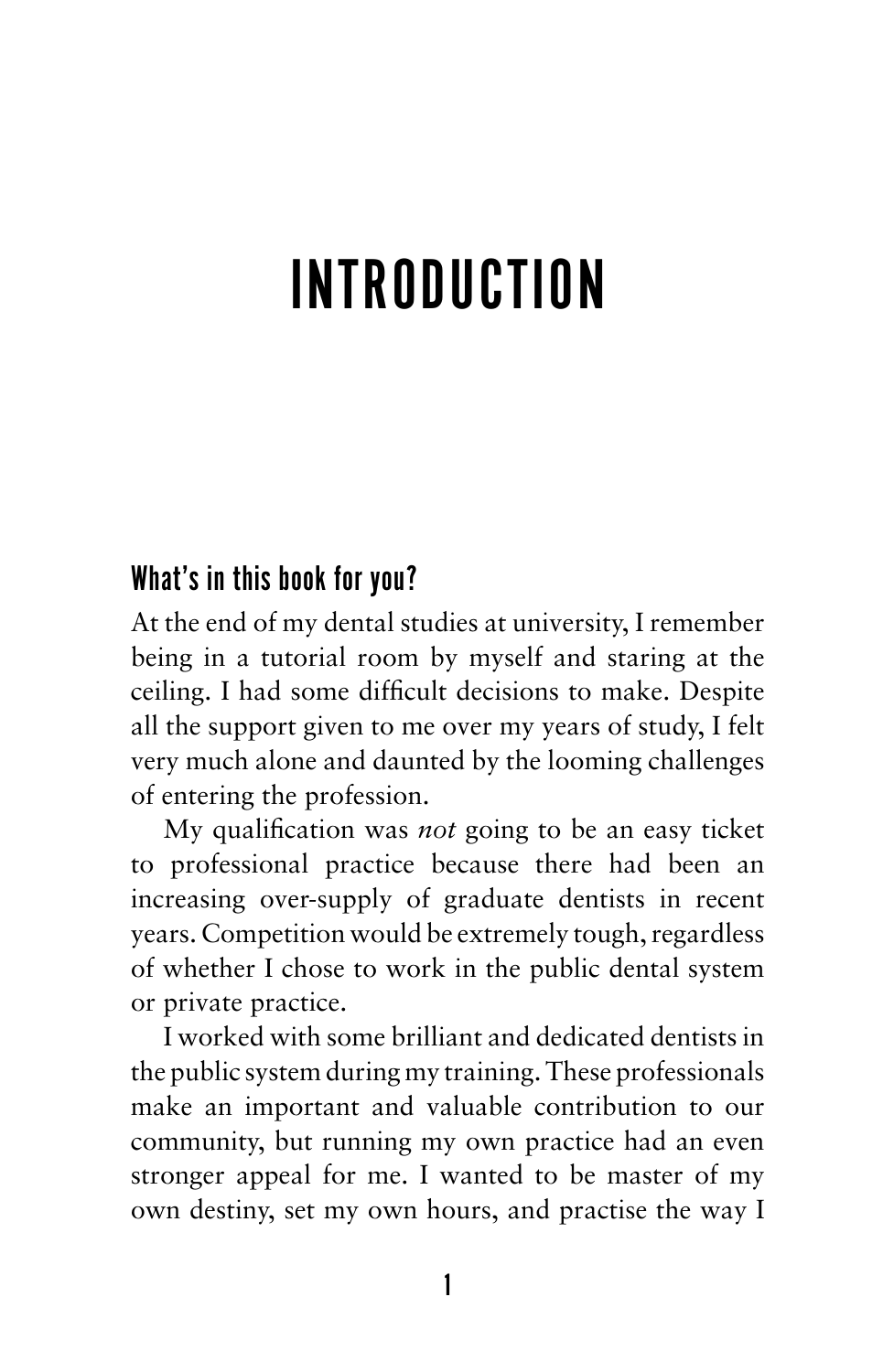# INTRODUCTION

### What's in this book for you?

At the end of my dental studies at university, I remember being in a tutorial room by myself and staring at the ceiling. I had some difficult decisions to make. Despite all the support given to me over my years of study, I felt very much alone and daunted by the looming challenges of entering the profession.

My qualification was *not* going to be an easy ticket to professional practice because there had been an increasing over-supply of graduate dentists in recent years. Competition would be extremely tough, regardless of whether I chose to work in the public dental system or private practice.

I worked with some brilliant and dedicated dentists in the public system during my training. These professionals make an important and valuable contribution to our community, but running my own practice had an even stronger appeal for me. I wanted to be master of my own destiny, set my own hours, and practise the way I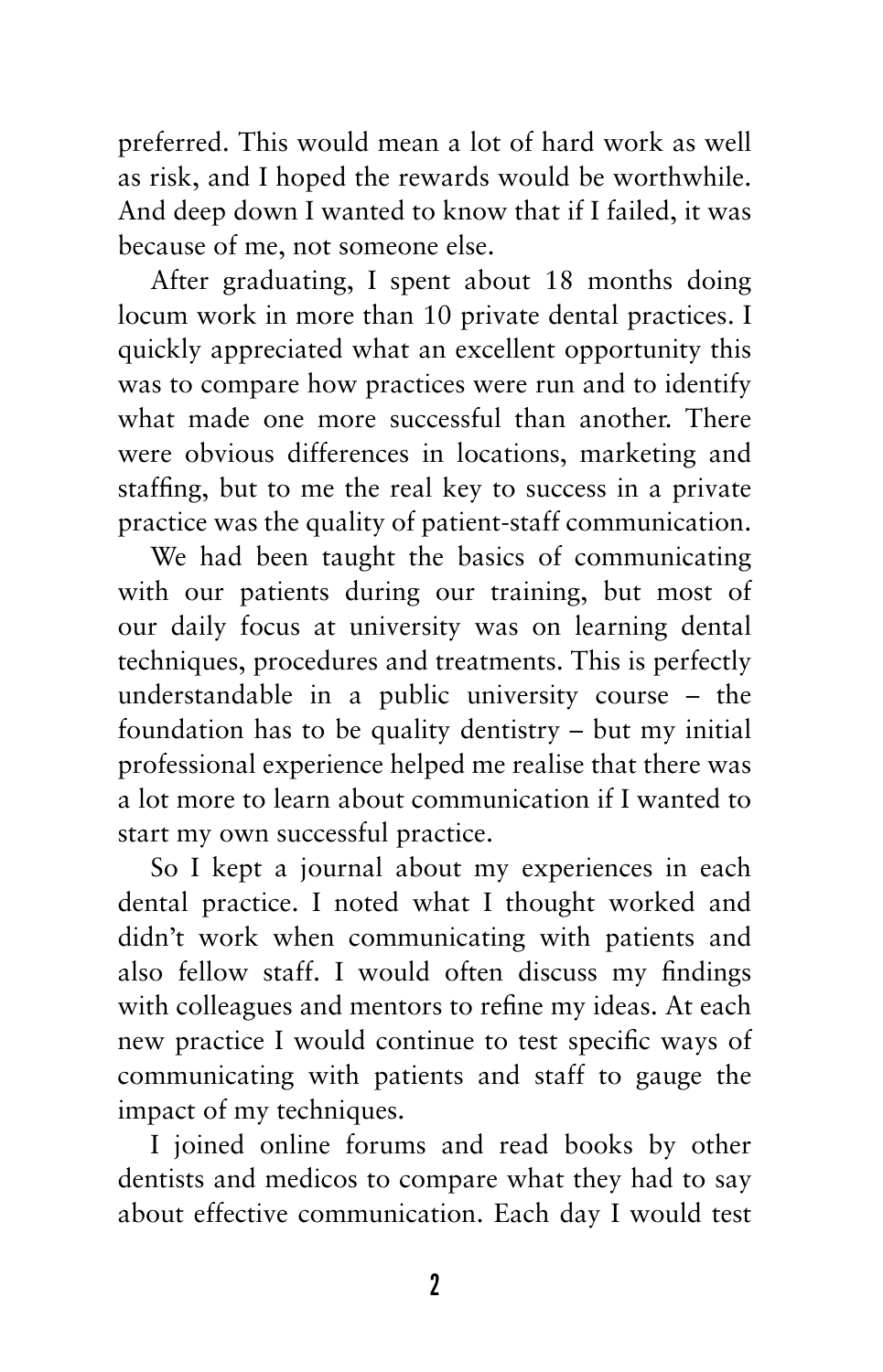preferred. This would mean a lot of hard work as well as risk, and I hoped the rewards would be worthwhile. And deep down I wanted to know that if I failed, it was because of me, not someone else.

After graduating, I spent about 18 months doing locum work in more than 10 private dental practices. I quickly appreciated what an excellent opportunity this was to compare how practices were run and to identify what made one more successful than another. There were obvious differences in locations, marketing and staffing, but to me the real key to success in a private practice was the quality of patient-staff communication.

We had been taught the basics of communicating with our patients during our training, but most of our daily focus at university was on learning dental techniques, procedures and treatments. This is perfectly understandable in a public university course – the foundation has to be quality dentistry – but my initial professional experience helped me realise that there was a lot more to learn about communication if I wanted to start my own successful practice.

So I kept a journal about my experiences in each dental practice. I noted what I thought worked and didn't work when communicating with patients and also fellow staff. I would often discuss my findings with colleagues and mentors to refine my ideas. At each new practice I would continue to test specific ways of communicating with patients and staff to gauge the impact of my techniques.

I joined online forums and read books by other dentists and medicos to compare what they had to say about effective communication. Each day I would test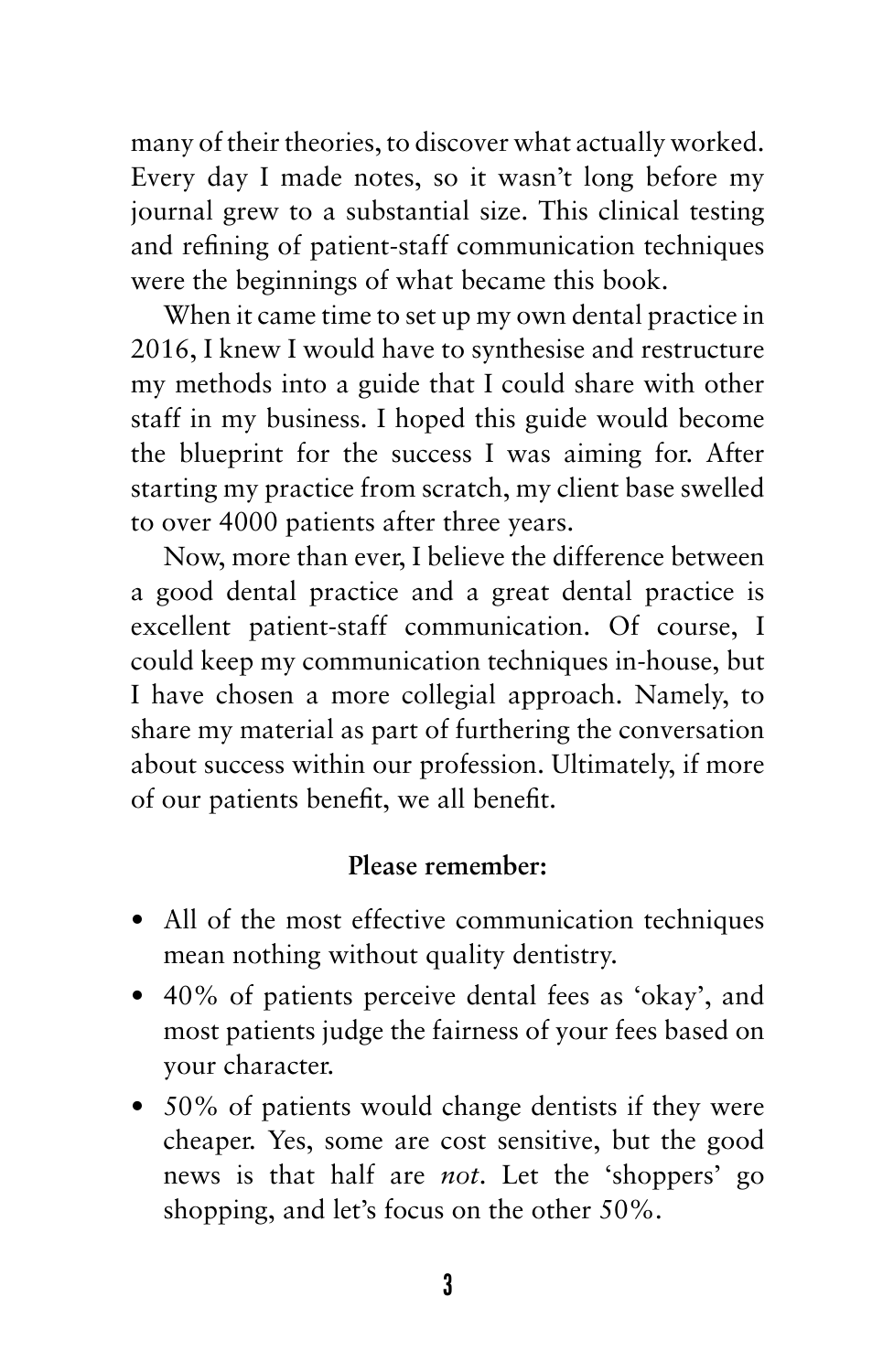many of their theories, to discover what actually worked. Every day I made notes, so it wasn't long before my journal grew to a substantial size. This clinical testing and refining of patient-staff communication techniques were the beginnings of what became this book.

When it came time to set up my own dental practice in 2016, I knew I would have to synthesise and restructure my methods into a guide that I could share with other staff in my business. I hoped this guide would become the blueprint for the success I was aiming for. After starting my practice from scratch, my client base swelled to over 4000 patients after three years.

Now, more than ever, I believe the difference between a good dental practice and a great dental practice is excellent patient-staff communication. Of course, I could keep my communication techniques in-house, but I have chosen a more collegial approach. Namely, to share my material as part of furthering the conversation about success within our profession. Ultimately, if more of our patients benefit, we all benefit.

### **Please remember:**

- All of the most effective communication techniques mean nothing without quality dentistry.
- 40% of patients perceive dental fees as 'okay', and most patients judge the fairness of your fees based on your character.
- $50\%$  of patients would change dentists if they were cheaper. Yes, some are cost sensitive, but the good news is that half are *not*. Let the 'shoppers' go shopping, and let's focus on the other 50%.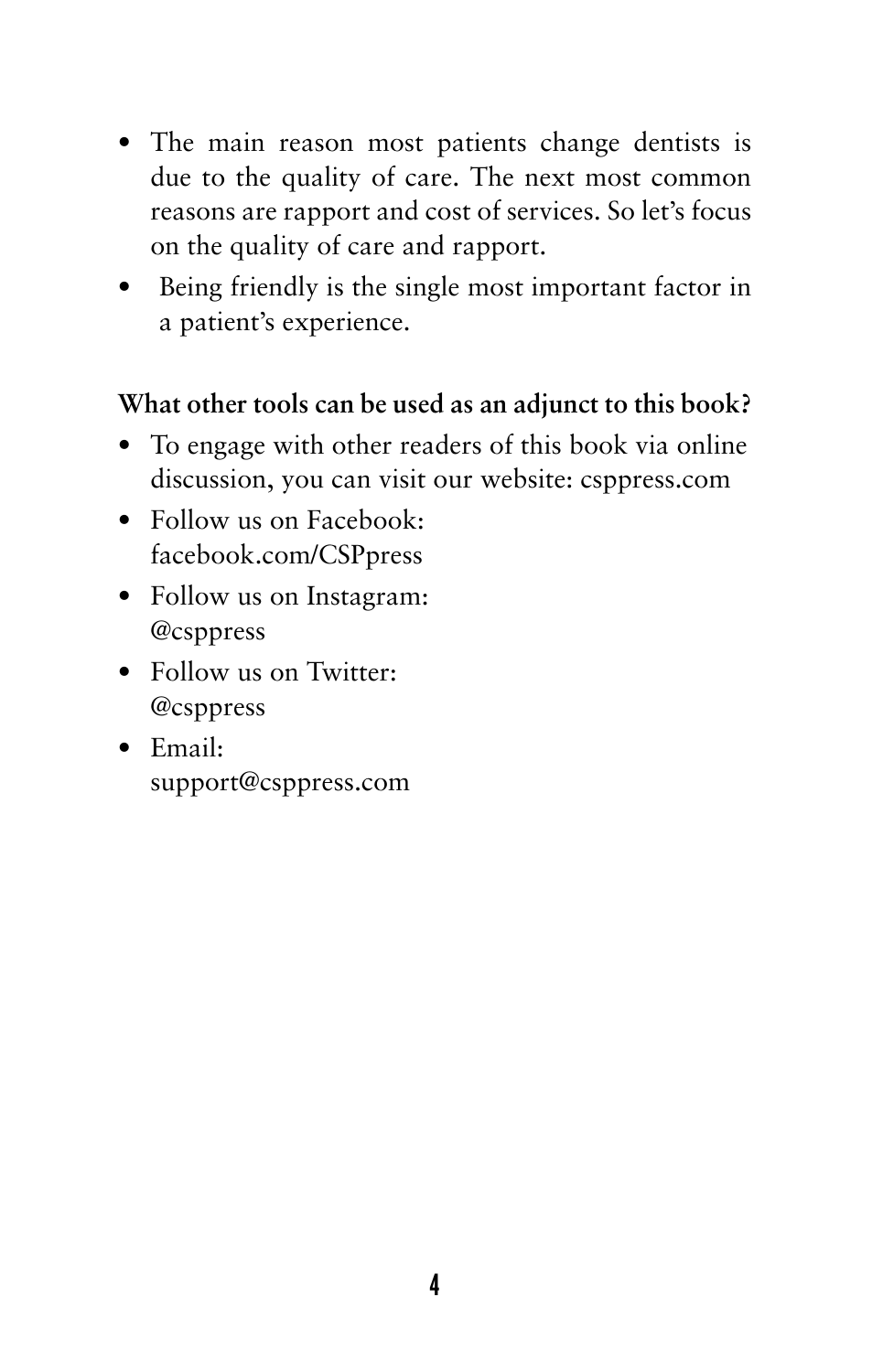- The main reason most patients change dentists is due to the quality of care. The next most common reasons are rapport and cost of services. So let's focus on the quality of care and rapport.
- Being friendly is the single most important factor in a patient's experience.

### **What other tools can be used as an adjunct to this book?**

- To engage with other readers of this book via online discussion, you can visit our website: csppress.com
- Follow us on Facebook: facebook.com/CSPpress
- Follow us on Instagram: @csppress
- Follow us on Twitter: @csppress
- • Email: support@csppress.com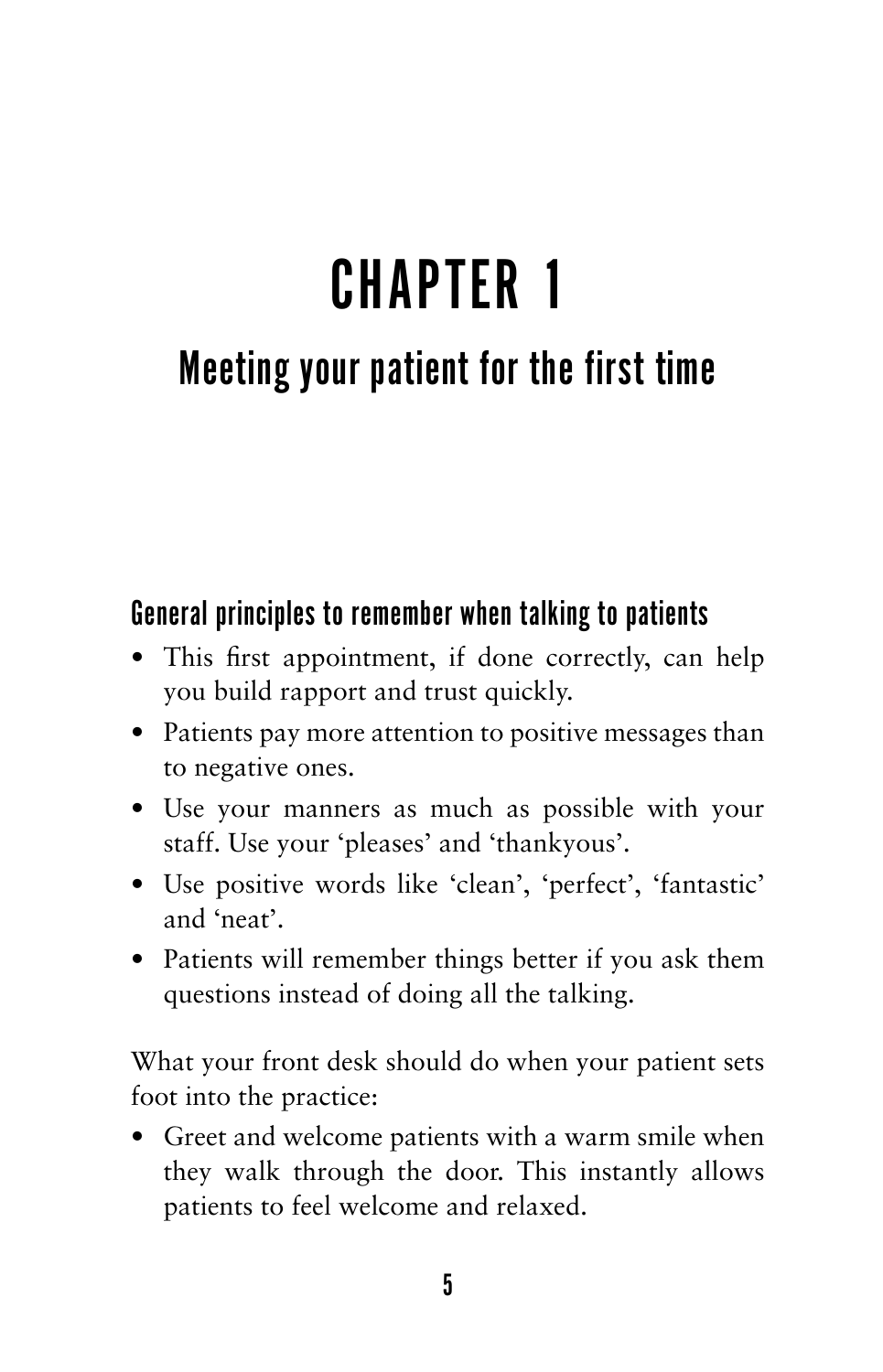# CHAPTER 1

# Meeting your patient for the first time

### General principles to remember when talking to patients

- This first appointment, if done correctly, can help you build rapport and trust quickly.
- Patients pay more attention to positive messages than to negative ones.
- Use your manners as much as possible with your staff. Use your 'pleases' and 'thankyous'.
- • Use positive words like 'clean', 'perfect', 'fantastic' and 'neat'.
- Patients will remember things better if you ask them questions instead of doing all the talking.

What your front desk should do when your patient sets foot into the practice:

• Greet and welcome patients with a warm smile when they walk through the door. This instantly allows patients to feel welcome and relaxed.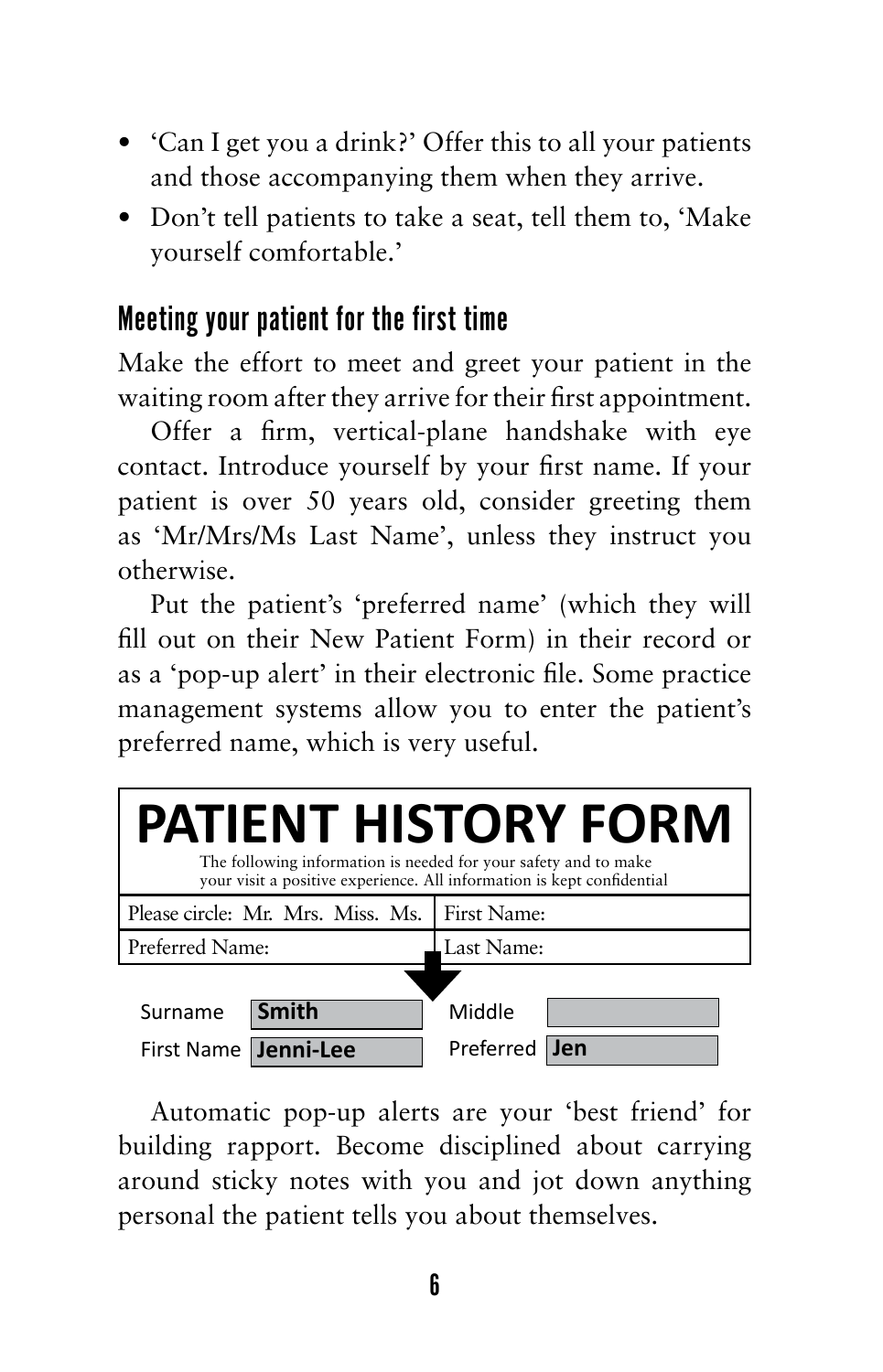- • 'Can I get you a drink?' Offer this to all your patients and those accompanying them when they arrive.
- Don't tell patients to take a seat, tell them to, 'Make yourself comfortable.'

# Meeting your patient for the first time

Make the effort to meet and greet your patient in the waiting room after they arrive for their first appointment.

Offer a firm, vertical-plane handshake with eye contact. Introduce yourself by your first name. If your patient is over 50 years old, consider greeting them as 'Mr/Mrs/Ms Last Name', unless they instruct you otherwise.

Put the patient's 'preferred name' (which they will fill out on their New Patient Form) in their record or as a 'pop-up alert' in their electronic file. Some practice management systems allow you to enter the patient's preferred name, which is very useful.



Automatic pop-up alerts are your 'best friend' for building rapport. Become disciplined about carrying around sticky notes with you and jot down anything personal the patient tells you about themselves.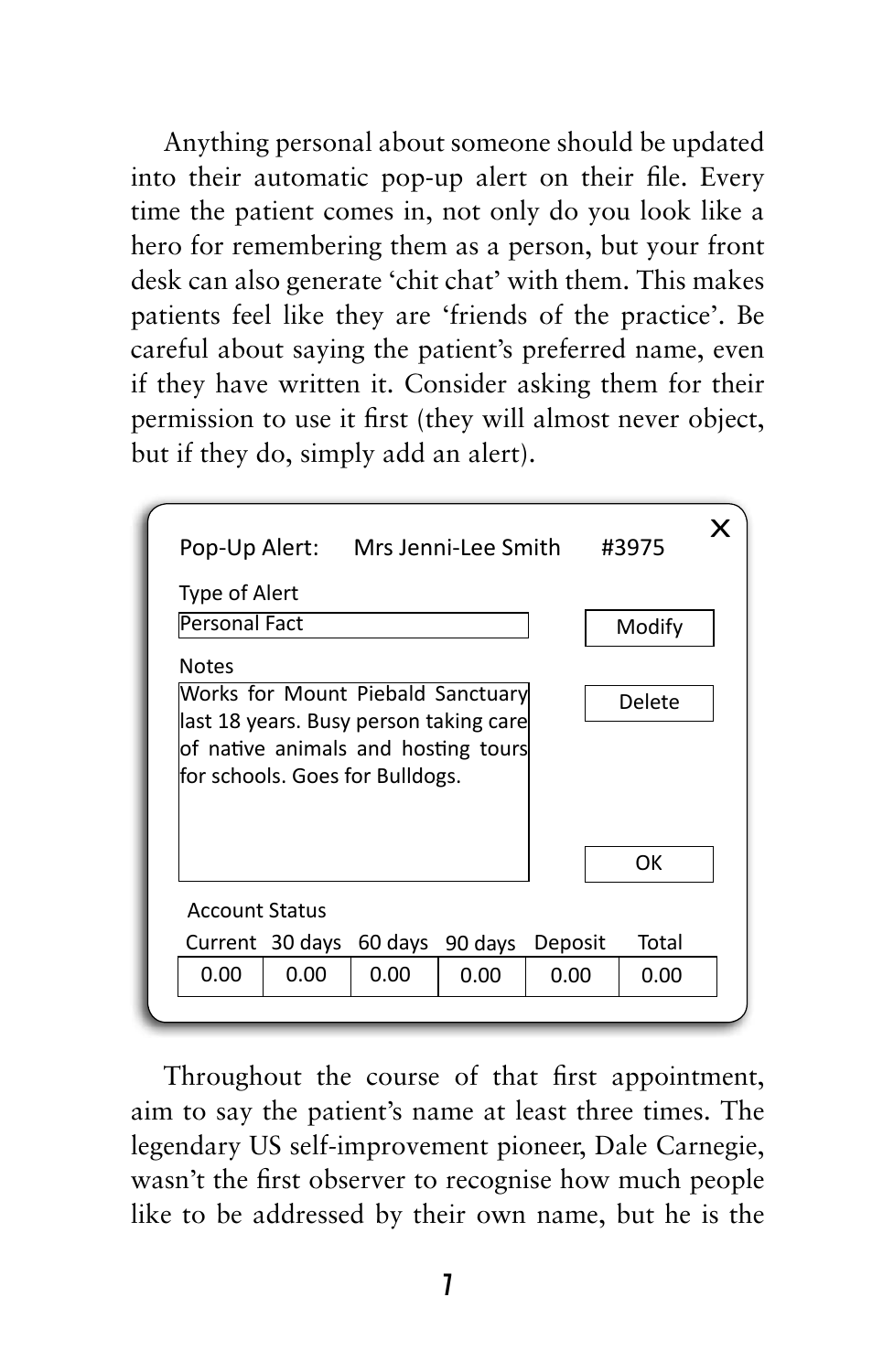Anything personal about someone should be updated into their automatic pop-up alert on their file. Every time the patient comes in, not only do you look like a hero for remembering them as a person, but your front desk can also generate 'chit chat' with them. This makes patients feel like they are 'friends of the practice'. Be careful about saying the patient's preferred name, even if they have written it. Consider asking them for their permission to use it first (they will almost never object, but if they do, simply add an alert).



Throughout the course of that first appointment, aim to say the patient's name at least three times. The legendary US self-improvement pioneer, Dale Carnegie, wasn't the first observer to recognise how much people like to be addressed by their own name, but he is the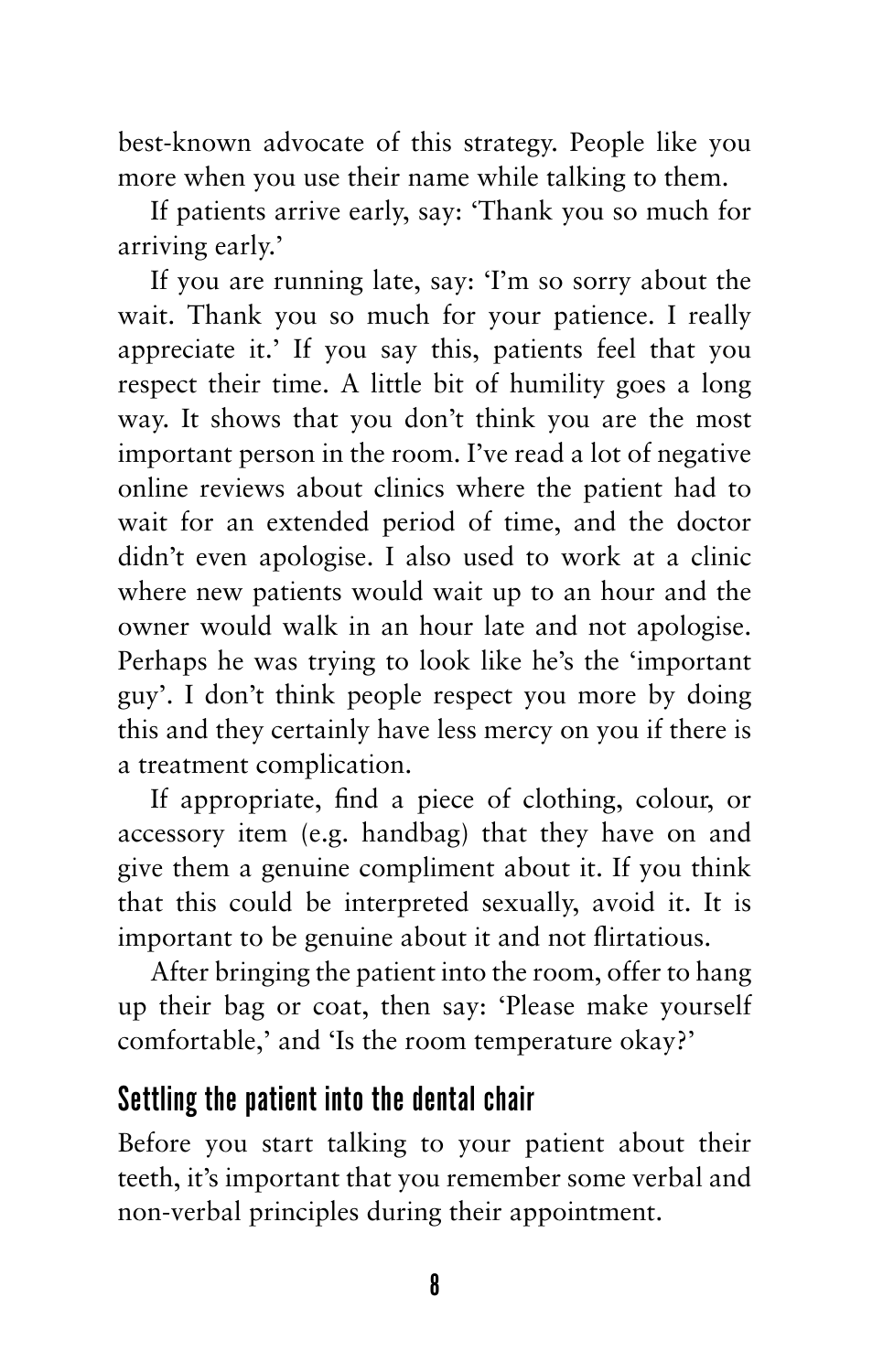best-known advocate of this strategy. People like you more when you use their name while talking to them.

If patients arrive early, say: 'Thank you so much for arriving early.'

If you are running late, say: 'I'm so sorry about the wait. Thank you so much for your patience. I really appreciate it.' If you say this, patients feel that you respect their time. A little bit of humility goes a long way. It shows that you don't think you are the most important person in the room. I've read a lot of negative online reviews about clinics where the patient had to wait for an extended period of time, and the doctor didn't even apologise. I also used to work at a clinic where new patients would wait up to an hour and the owner would walk in an hour late and not apologise. Perhaps he was trying to look like he's the 'important guy'. I don't think people respect you more by doing this and they certainly have less mercy on you if there is a treatment complication.

If appropriate, find a piece of clothing, colour, or accessory item (e.g. handbag) that they have on and give them a genuine compliment about it. If you think that this could be interpreted sexually, avoid it. It is important to be genuine about it and not flirtatious.

After bringing the patient into the room, offer to hang up their bag or coat, then say: 'Please make yourself comfortable,' and 'Is the room temperature okay?'

### Settling the patient into the dental chair

Before you start talking to your patient about their teeth, it's important that you remember some verbal and non-verbal principles during their appointment.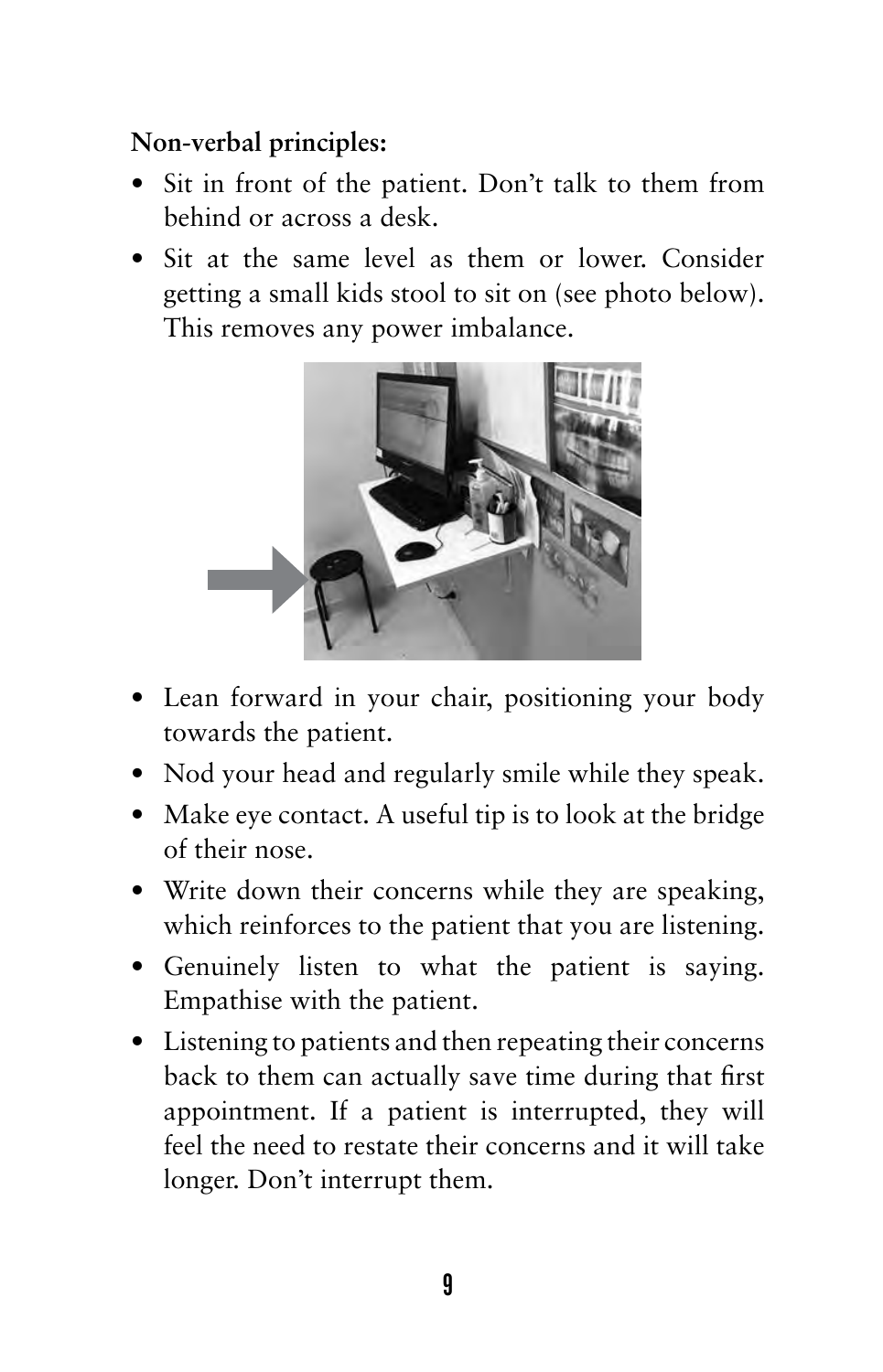### **Non-verbal principles:**

- Sit in front of the patient. Don't talk to them from behind or across a desk.
- Sit at the same level as them or lower. Consider getting a small kids stool to sit on (see photo below). This removes any power imbalance.



- Lean forward in your chair, positioning your body towards the patient.
- Nod your head and regularly smile while they speak.
- Make eye contact. A useful tip is to look at the bridge of their nose.
- Write down their concerns while they are speaking, which reinforces to the patient that you are listening.
- Genuinely listen to what the patient is saying. Empathise with the patient.
- • Listening to patients and then repeating their concerns back to them can actually save time during that first appointment. If a patient is interrupted, they will feel the need to restate their concerns and it will take longer. Don't interrupt them.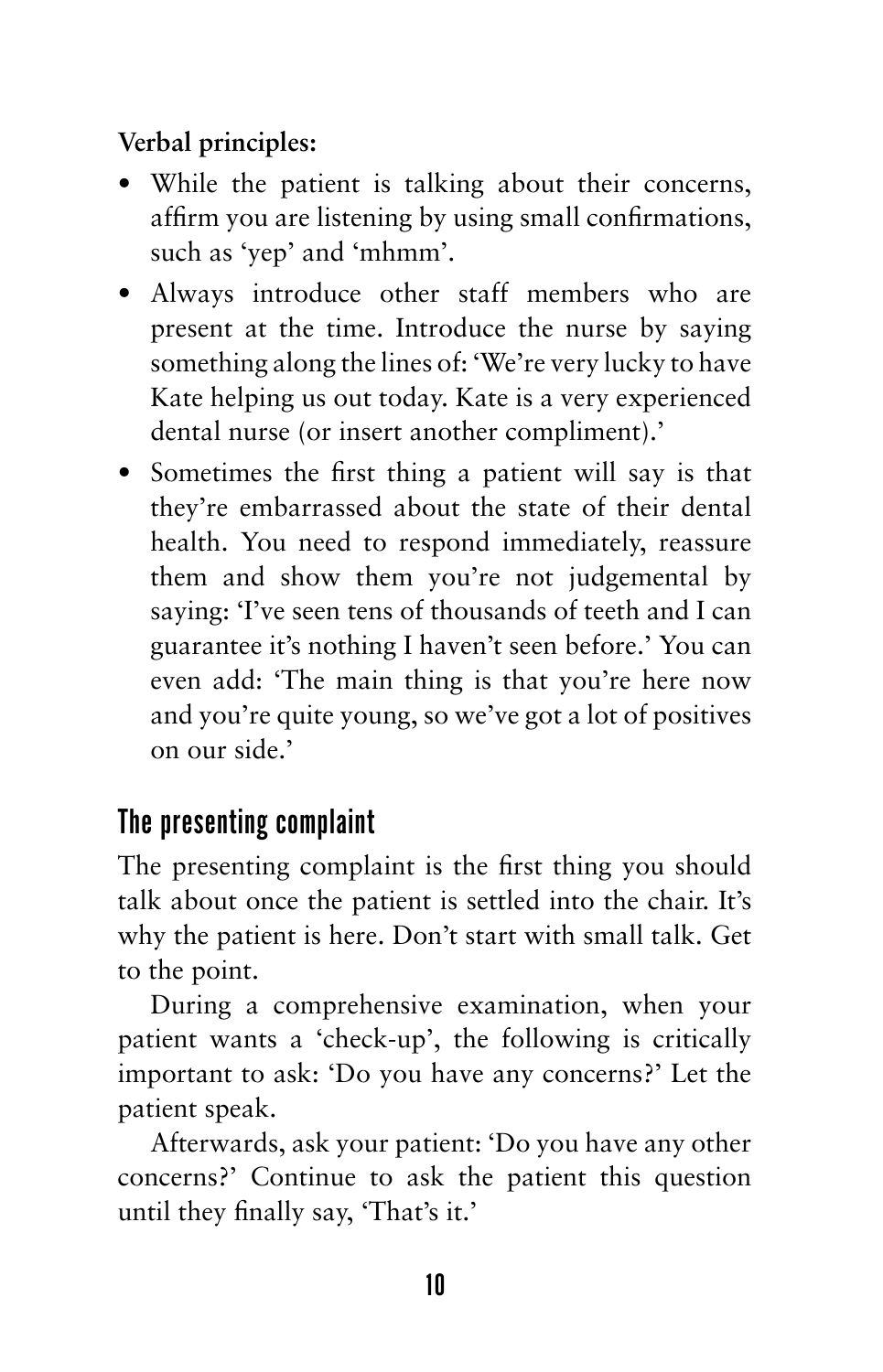**Verbal principles:**

- While the patient is talking about their concerns, affirm you are listening by using small confirmations, such as 'yep' and 'mhmm'.
- Always introduce other staff members who are present at the time. Introduce the nurse by saying something along the lines of: 'We're very lucky to have Kate helping us out today. Kate is a very experienced dental nurse (or insert another compliment).'
- Sometimes the first thing a patient will say is that they're embarrassed about the state of their dental health. You need to respond immediately, reassure them and show them you're not judgemental by saying: 'I've seen tens of thousands of teeth and I can guarantee it's nothing I haven't seen before.' You can even add: 'The main thing is that you're here now and you're quite young, so we've got a lot of positives on our side.'

# The presenting complaint

The presenting complaint is the first thing you should talk about once the patient is settled into the chair. It's why the patient is here. Don't start with small talk. Get to the point.

During a comprehensive examination, when your patient wants a 'check-up', the following is critically important to ask: 'Do you have any concerns?' Let the patient speak.

Afterwards, ask your patient: 'Do you have any other concerns?' Continue to ask the patient this question until they finally say, 'That's it.'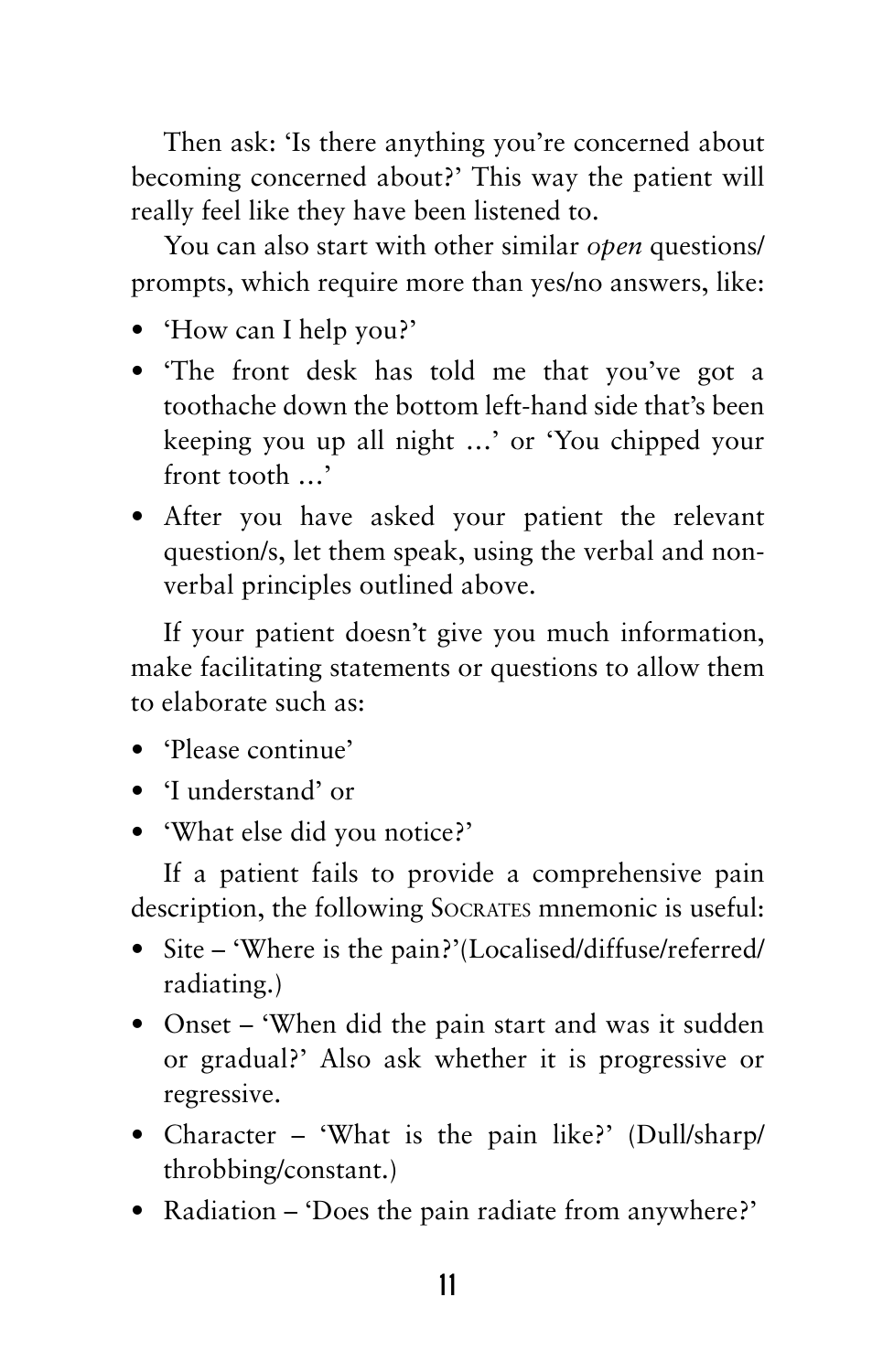Then ask: 'Is there anything you're concerned about becoming concerned about?' This way the patient will really feel like they have been listened to.

You can also start with other similar *open* questions/ prompts, which require more than yes/no answers, like:

- 'How can I help you?'
- The front desk has told me that you've got a toothache down the bottom left-hand side that's been keeping you up all night …' or 'You chipped your front tooth …'
- • After you have asked your patient the relevant question/s, let them speak, using the verbal and nonverbal principles outlined above.

If your patient doesn't give you much information, make facilitating statements or questions to allow them to elaborate such as:

- Please continue'
- • 'I understand' or
- 'What else did you notice?'

If a patient fails to provide a comprehensive pain description, the following Socrates mnemonic is useful:

- Site 'Where is the pain?'(Localised/diffuse/referred/ radiating.)
- Onset 'When did the pain start and was it sudden or gradual?' Also ask whether it is progressive or regressive.
- Character 'What is the pain like?' (Dull/sharp/ throbbing/constant.)
- Radiation 'Does the pain radiate from anywhere?'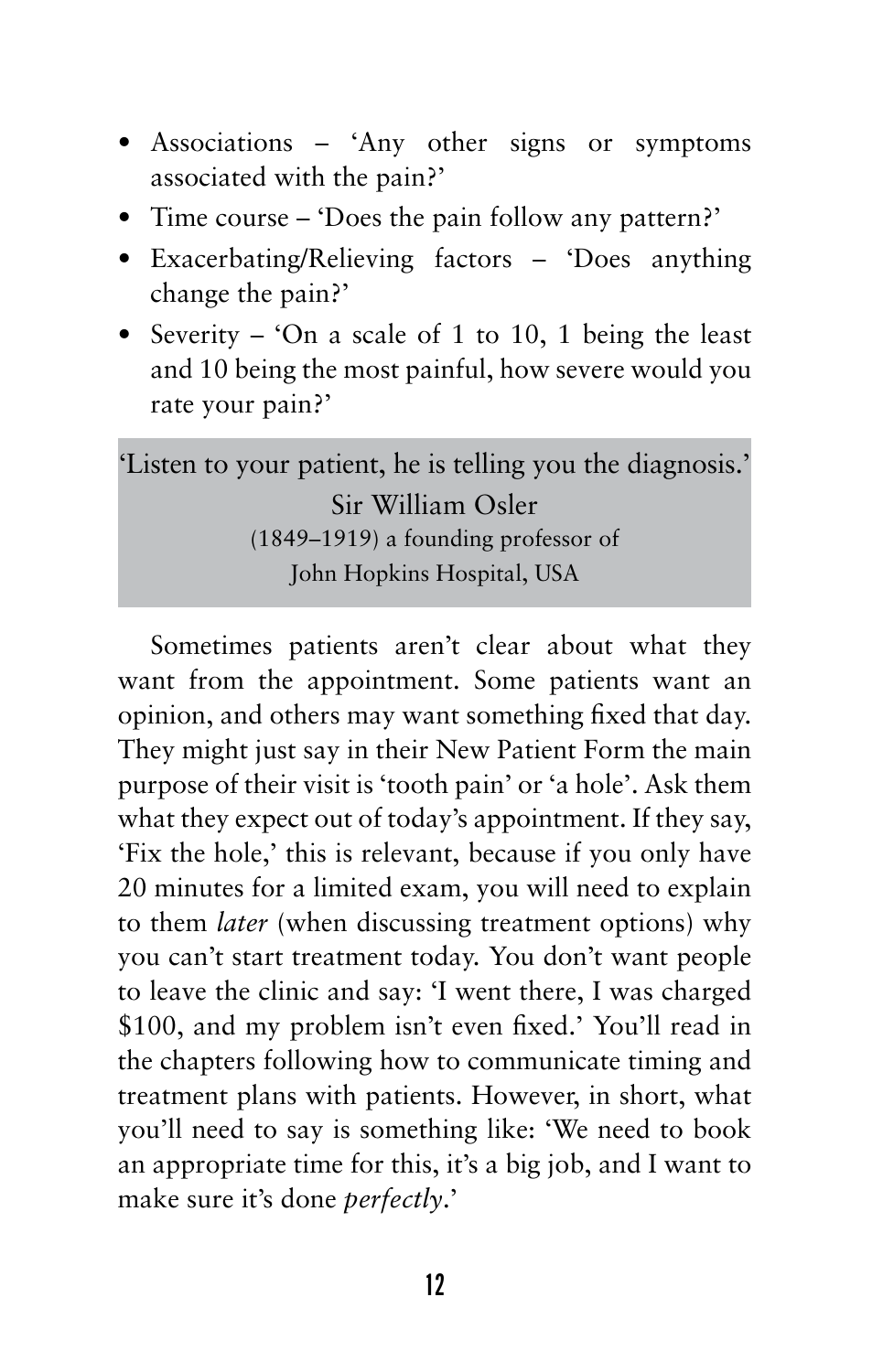- Associations 'Any other signs or symptoms associated with the pain?'
- Time course 'Does the pain follow any pattern?'
- Exacerbating/Relieving factors 'Does anything change the pain?'
- Severity 'On a scale of 1 to 10, 1 being the least and 10 being the most painful, how severe would you rate your pain?'

'Listen to your patient, he is telling you the diagnosis.' Sir William Osler (1849–1919) a founding professor of John Hopkins Hospital, USA

Sometimes patients aren't clear about what they want from the appointment. Some patients want an opinion, and others may want something fixed that day. They might just say in their New Patient Form the main purpose of their visit is 'tooth pain' or 'a hole'. Ask them what they expect out of today's appointment. If they say, 'Fix the hole,' this is relevant, because if you only have 20 minutes for a limited exam, you will need to explain to them *later* (when discussing treatment options) why you can't start treatment today. You don't want people to leave the clinic and say: 'I went there, I was charged \$100, and my problem isn't even fixed.' You'll read in the chapters following how to communicate timing and treatment plans with patients. However, in short, what you'll need to say is something like: 'We need to book an appropriate time for this, it's a big job, and I want to make sure it's done *perfectly*.'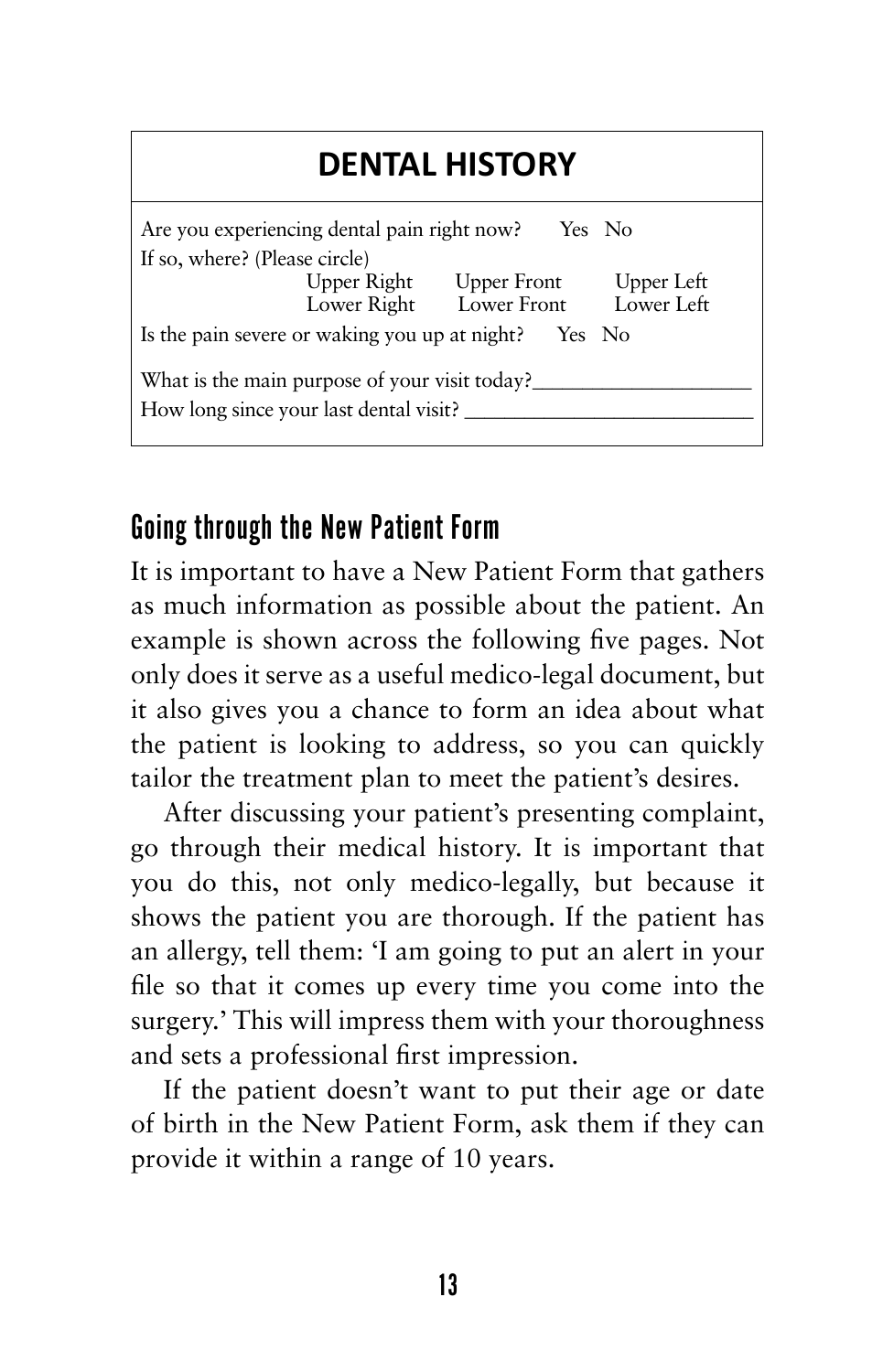# **DENTAL HISTORY**

| Are you experiencing dental pain right now?             |                         | Yes No     |  |  |
|---------------------------------------------------------|-------------------------|------------|--|--|
| If so, where? (Please circle)                           |                         |            |  |  |
| Upper Right                                             | Upper Front             | Upper Left |  |  |
|                                                         | Lower Right Lower Front | Lower Left |  |  |
| Is the pain severe or waking you up at night?<br>Yes No |                         |            |  |  |
| What is the main purpose of your visit today?           |                         |            |  |  |
| How long since your last dental visit?                  |                         |            |  |  |

### Going through the New Patient Form

It is important to have a New Patient Form that gathers as much information as possible about the patient. An example is shown across the following five pages. Not only does it serve as a useful medico-legal document, but it also gives you a chance to form an idea about what the patient is looking to address, so you can quickly tailor the treatment plan to meet the patient's desires.

After discussing your patient's presenting complaint, go through their medical history. It is important that you do this, not only medico-legally, but because it shows the patient you are thorough. If the patient has an allergy, tell them: 'I am going to put an alert in your file so that it comes up every time you come into the surgery.' This will impress them with your thoroughness and sets a professional first impression.

If the patient doesn't want to put their age or date of birth in the New Patient Form, ask them if they can provide it within a range of 10 years.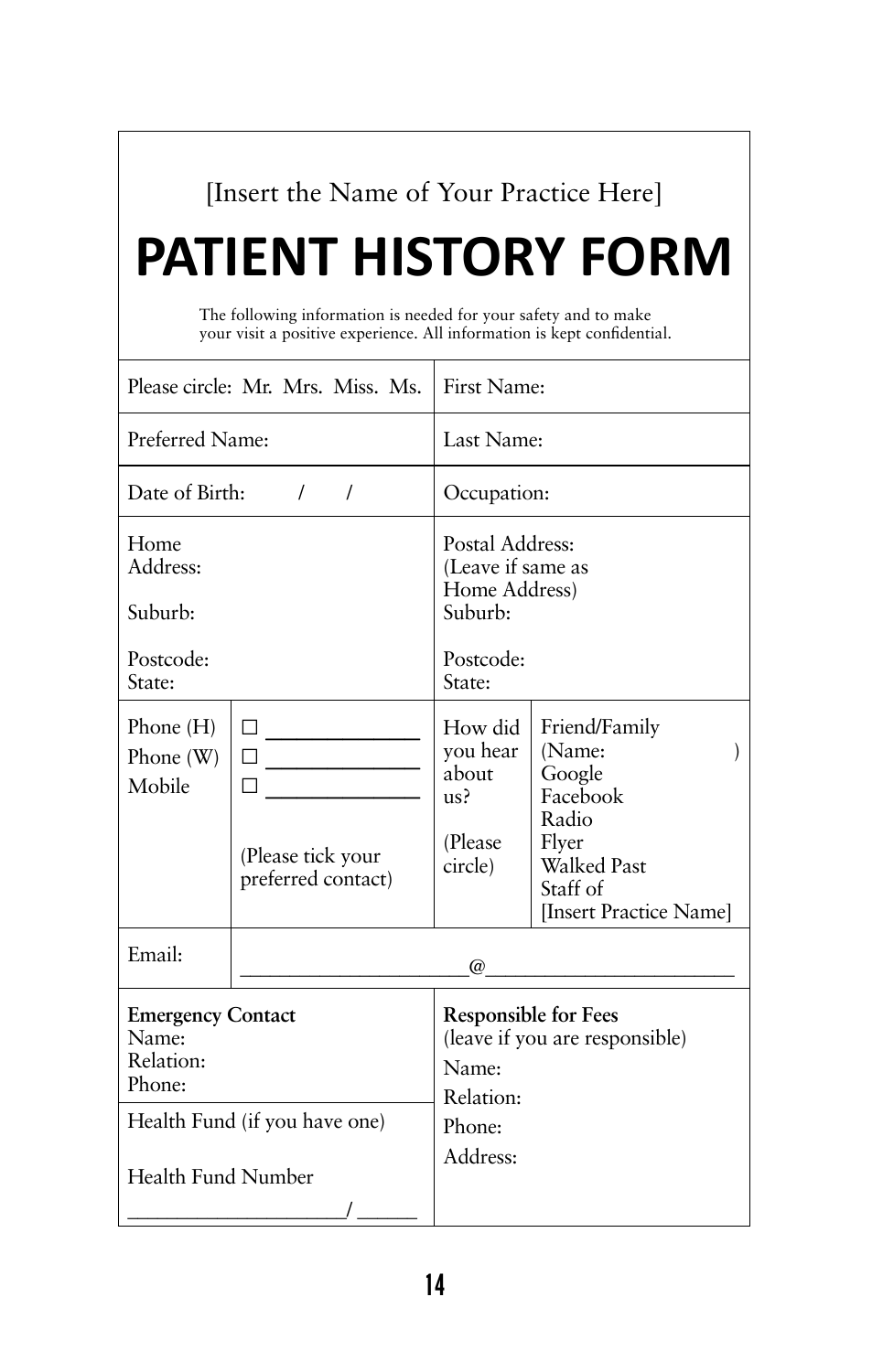### [Insert the Name of Your Practice Here]

# **PATIENT HISTORY FORM**

The following information is needed for your safety and to make your visit a positive experience. All information is kept confidential.

|                                                                                                                 | Please circle: Mr. Mrs. Miss. Ms.                       | First Name:                                                           |                                                                                                                             |  |
|-----------------------------------------------------------------------------------------------------------------|---------------------------------------------------------|-----------------------------------------------------------------------|-----------------------------------------------------------------------------------------------------------------------------|--|
| Preferred Name:                                                                                                 |                                                         | Last Name:                                                            |                                                                                                                             |  |
| Date of Birth:<br>$\sqrt{2}$<br>$\prime$                                                                        |                                                         | Occupation:                                                           |                                                                                                                             |  |
| Home<br>Address:                                                                                                |                                                         | Postal Address:<br>(Leave if same as<br>Home Address)                 |                                                                                                                             |  |
| Suburb:                                                                                                         |                                                         | Suburb:                                                               |                                                                                                                             |  |
| Postcode:<br>State:                                                                                             |                                                         | Postcode:<br>State:                                                   |                                                                                                                             |  |
| Phone $(H)$<br>Phone $(W)$<br>Mobile                                                                            | п<br>П<br>ΙI<br>(Please tick your<br>preferred contact) | How did<br>you hear<br>about<br>us <sup>2</sup><br>(Please<br>circle) | Friend/Family<br>(Name:<br>Google<br>Facebook<br>Radio<br>Flyer<br><b>Walked Past</b><br>Staff of<br>[Insert Practice Name] |  |
| Email:<br>$\omega$                                                                                              |                                                         |                                                                       |                                                                                                                             |  |
| <b>Emergency Contact</b><br>Name:<br>Relation:<br>Phone:<br>Health Fund (if you have one)<br>Health Fund Number |                                                         | Name:<br>Relation:<br>Phone:<br>Address:                              | <b>Responsible for Fees</b><br>(leave if you are responsible)                                                               |  |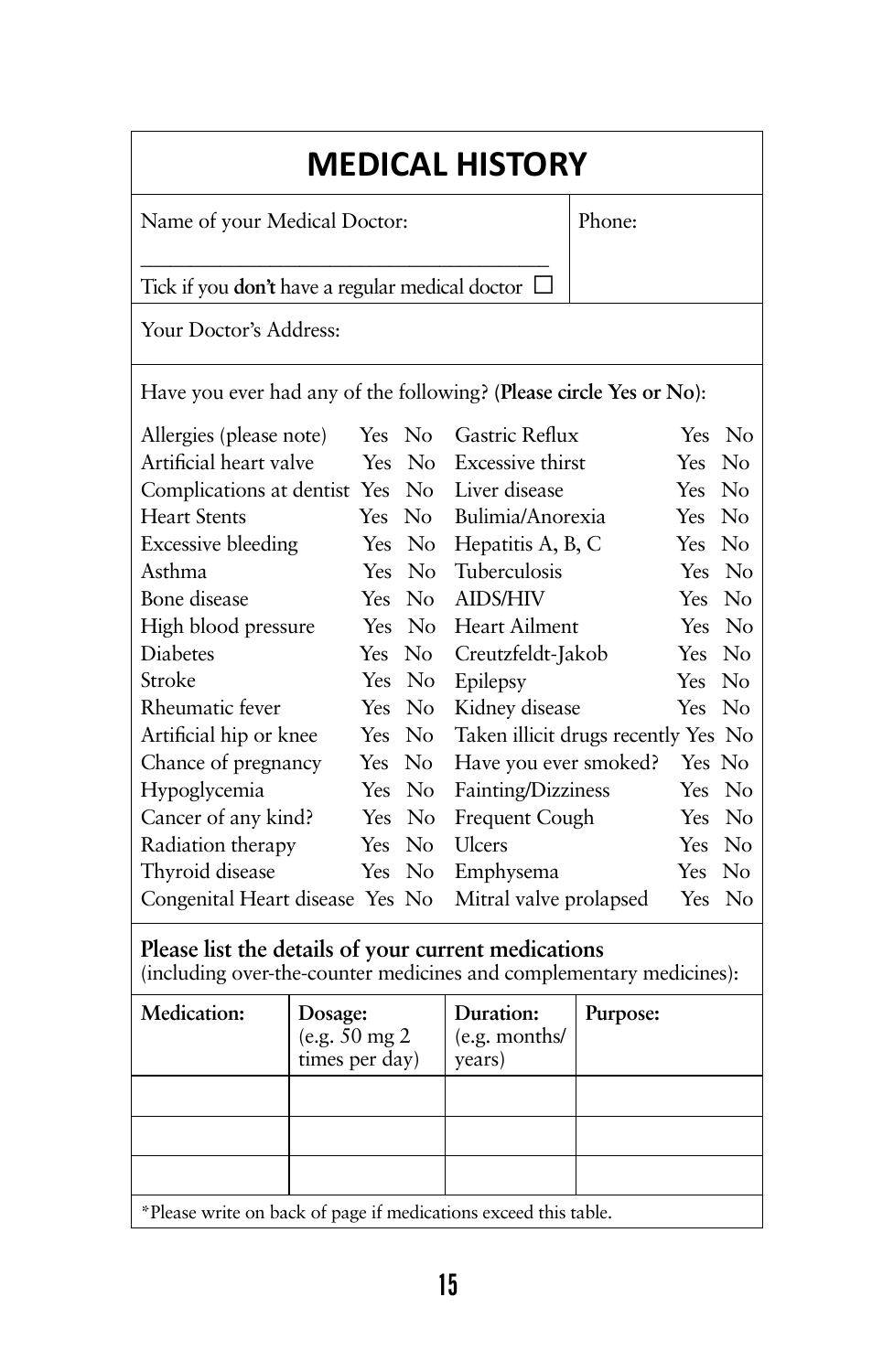# **MEDICAL HISTORY**

Name of your Medical Doctor:

Phone:

\_\_\_\_\_\_\_\_\_\_\_\_\_\_\_\_\_\_\_\_\_\_\_\_\_\_\_\_\_\_\_\_\_\_\_\_\_\_\_\_\_ Tick if you **don't** have a regular medical doctor □

Your Doctor's Address:

Have you ever had any of the following? **(Please circle Yes or No)**:

| Allergies (please note)         | Yes No |        | Gastric Reflux                      |        | Yes No |
|---------------------------------|--------|--------|-------------------------------------|--------|--------|
| Artificial heart valve          |        | Yes No | Excessive thirst                    | Yes No |        |
| Complications at dentist Yes No |        |        | Liver disease                       | Yes No |        |
| <b>Heart Stents</b>             | Yes No |        | Bulimia/Anorexia                    | Yes No |        |
| <b>Excessive bleeding</b>       |        | Yes No | Hepatitis A, B, C                   | Yes No |        |
| Asthma                          |        | Yes No | Tuberculosis                        |        | Yes No |
| Bone disease                    | Yes No |        | <b>AIDS/HIV</b>                     | Yes No |        |
| High blood pressure             |        | Yes No | Heart Ailment                       |        | Yes No |
| <b>Diabetes</b>                 | Yes No |        | Creutzfeldt-Jakob                   | Yes No |        |
| Stroke                          |        | Yes No | Epilepsy                            | Yes No |        |
| Rheumatic fever                 | Yes No |        | Kidney disease                      | Yes No |        |
| Artificial hip or knee          | Yes No |        | Taken illicit drugs recently Yes No |        |        |
| Chance of pregnancy             | Yes No |        | Have you ever smoked?               | Yes No |        |
| Hypoglycemia                    | Yes No |        | Fainting/Dizziness                  |        | Yes No |
| Cancer of any kind?             |        | Yes No | Frequent Cough                      |        | Yes No |
| Radiation therapy               | Yes No |        | Ulcers                              | Yes No |        |
| Thyroid disease                 | Yes No |        | Emphysema                           | Yes No |        |
| Congenital Heart disease Yes No |        |        | Mitral valve prolapsed              |        | Yes No |

### **Please list the details of your current medications**

(including over-the-counter medicines and complementary medicines):

| Medication:                                                     | Dosage:<br>(e.g. 50 mg 2<br>times per day) | Duration:<br>(e.g. months/<br>years) | Purpose: |
|-----------------------------------------------------------------|--------------------------------------------|--------------------------------------|----------|
|                                                                 |                                            |                                      |          |
|                                                                 |                                            |                                      |          |
|                                                                 |                                            |                                      |          |
| *Please write on back of page if medications exceed this table. |                                            |                                      |          |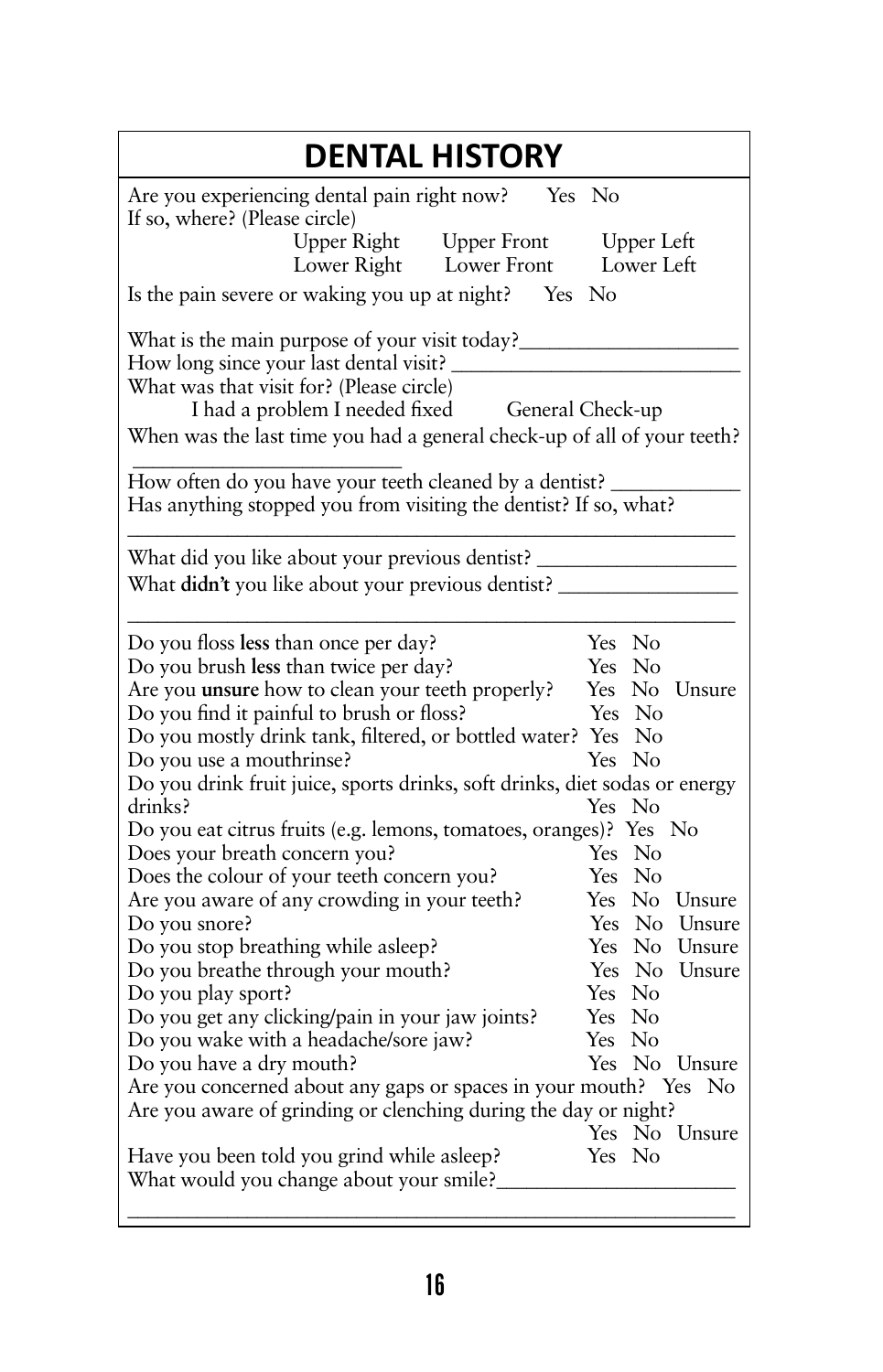| <b>DENTAL HISTORY</b>                                                                                                                                                                                                                                                                                                                                                                                                                                                                                                                                                                                                                                                                                                                                                                                                                                                  |
|------------------------------------------------------------------------------------------------------------------------------------------------------------------------------------------------------------------------------------------------------------------------------------------------------------------------------------------------------------------------------------------------------------------------------------------------------------------------------------------------------------------------------------------------------------------------------------------------------------------------------------------------------------------------------------------------------------------------------------------------------------------------------------------------------------------------------------------------------------------------|
| Are you experiencing dental pain right now?<br>Yes No<br>If so, where? (Please circle)                                                                                                                                                                                                                                                                                                                                                                                                                                                                                                                                                                                                                                                                                                                                                                                 |
| <b>Upper Front</b><br>Upper Right<br><b>Upper Left</b><br>Lower Left<br>Lower Right<br>Lower Front                                                                                                                                                                                                                                                                                                                                                                                                                                                                                                                                                                                                                                                                                                                                                                     |
| Is the pain severe or waking you up at night? Yes<br>N <sub>0</sub>                                                                                                                                                                                                                                                                                                                                                                                                                                                                                                                                                                                                                                                                                                                                                                                                    |
| How long since your last dental visit?<br>What was that visit for? (Please circle)<br>I had a problem I needed fixed<br>General Check-up<br>When was the last time you had a general check-up of all of your teeth?                                                                                                                                                                                                                                                                                                                                                                                                                                                                                                                                                                                                                                                    |
| How often do you have your teeth cleaned by a dentist?<br>Has anything stopped you from visiting the dentist? If so, what?                                                                                                                                                                                                                                                                                                                                                                                                                                                                                                                                                                                                                                                                                                                                             |
| What did you like about your previous dentist?<br>What didn't you like about your previous dentist?                                                                                                                                                                                                                                                                                                                                                                                                                                                                                                                                                                                                                                                                                                                                                                    |
| Do you floss less than once per day?<br>Yes No<br>Do you brush less than twice per day?<br>Yes No<br>Are you unsure how to clean your teeth properly?<br>Yes No<br>Unsure<br>Do you find it painful to brush or floss?<br>Yes No<br>Do you mostly drink tank, filtered, or bottled water? Yes No<br>Yes No<br>Do you use a mouthrinse?<br>Do you drink fruit juice, sports drinks, soft drinks, diet sodas or energy<br>drinks?<br>Yes No<br>Do you eat citrus fruits (e.g. lemons, tomatoes, oranges)? Yes No<br>Does your breath concern you?<br>Yes No<br>Does the colour of your teeth concern you?<br>Yes No<br>Are you aware of any crowding in your teeth?<br>Yes No Unsure<br>Do you snore?<br>Yes No Unsure<br>Do you stop breathing while asleep?<br>Yes No Unsure<br>Do you breathe through your mouth?<br>Yes No<br>Unsure<br>Do you play sport?<br>Yes No |
| Do you get any clicking/pain in your jaw joints?<br>Yes No<br>Do you wake with a headache/sore jaw?<br>Yes No<br>Do you have a dry mouth?<br>Yes No Unsure<br>Are you concerned about any gaps or spaces in your mouth? Yes No<br>Are you aware of grinding or clenching during the day or night?<br>Yes No Unsure<br>Yes No<br>Have you been told you grind while asleep?<br>What would you change about your smile?                                                                                                                                                                                                                                                                                                                                                                                                                                                  |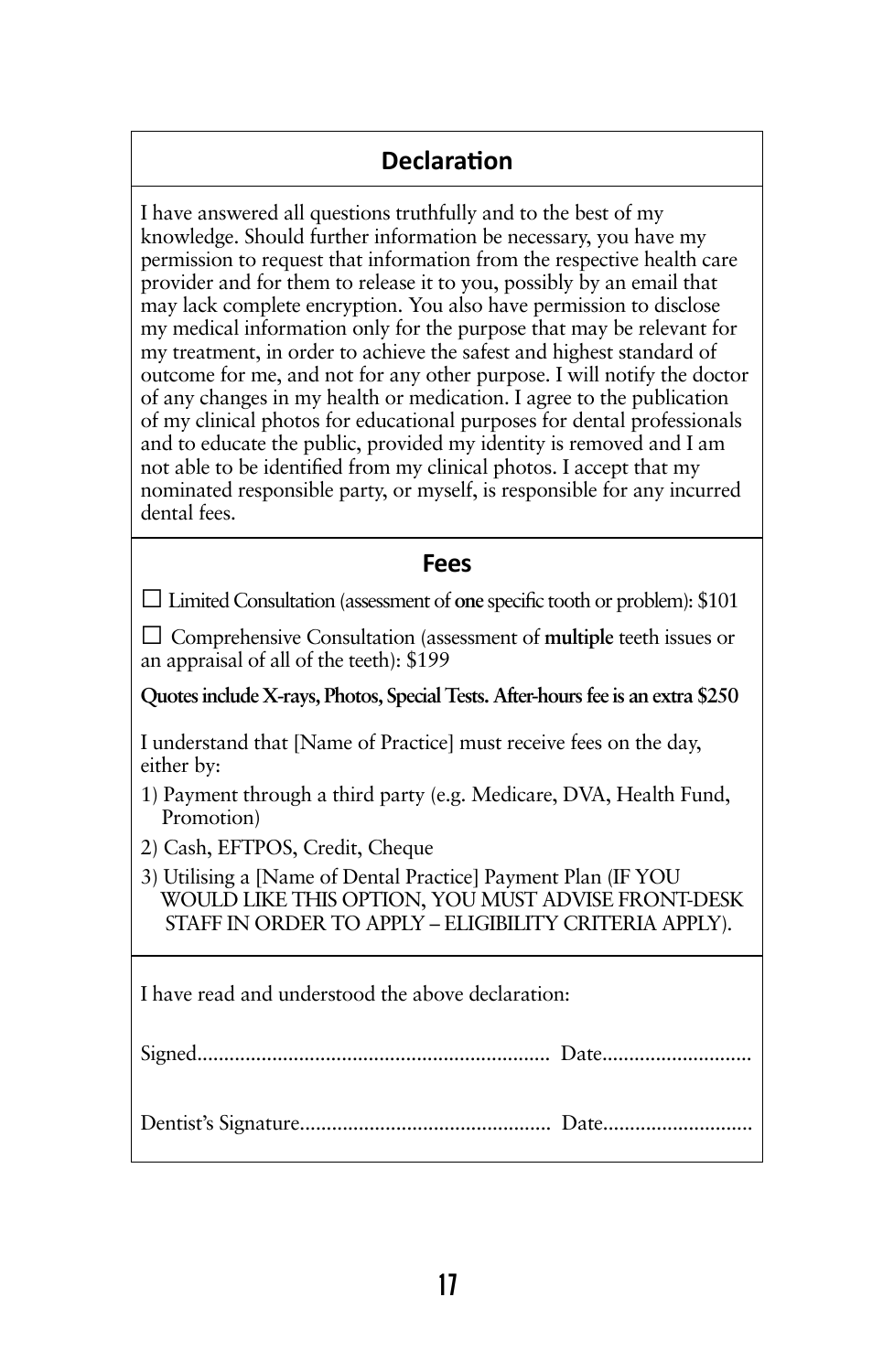### **Declaration**

I have answered all questions truthfully and to the best of my knowledge. Should further information be necessary, you have my permission to request that information from the respective health care provider and for them to release it to you, possibly by an email that may lack complete encryption. You also have permission to disclose my medical information only for the purpose that may be relevant for my treatment, in order to achieve the safest and highest standard of outcome for me, and not for any other purpose. I will notify the doctor of any changes in my health or medication. I agree to the publication of my clinical photos for educational purposes for dental professionals and to educate the public, provided my identity is removed and I am not able to be identified from my clinical photos. I accept that my nominated responsible party, or myself, is responsible for any incurred dental fees.

### **Fees**

□ Limited Consultation (assessment of **one** specific tooth or problem): \$101

□ Comprehensive Consultation (assessment of **multiple** teeth issues or an appraisal of all of the teeth): \$199

**Quotes include X-rays, Photos, Special Tests. After-hours fee is an extra \$250**

I understand that [Name of Practice] must receive fees on the day, either by:

- 1) Payment through a third party (e.g. Medicare, DVA, Health Fund, Promotion)
- 2) Cash, EFTPOS, Credit, Cheque
- 3) Utilising a [Name of Dental Practice] Payment Plan (IF YOU WOULD LIKE THIS OPTION, YOU MUST ADVISE FRONT-DESK STAFF IN ORDER TO APPLY – ELIGIBILITY CRITERIA APPLY).

I have read and understood the above declaration: Signed.................................................................. Date............................ Dentist's Signature............................................... Date............................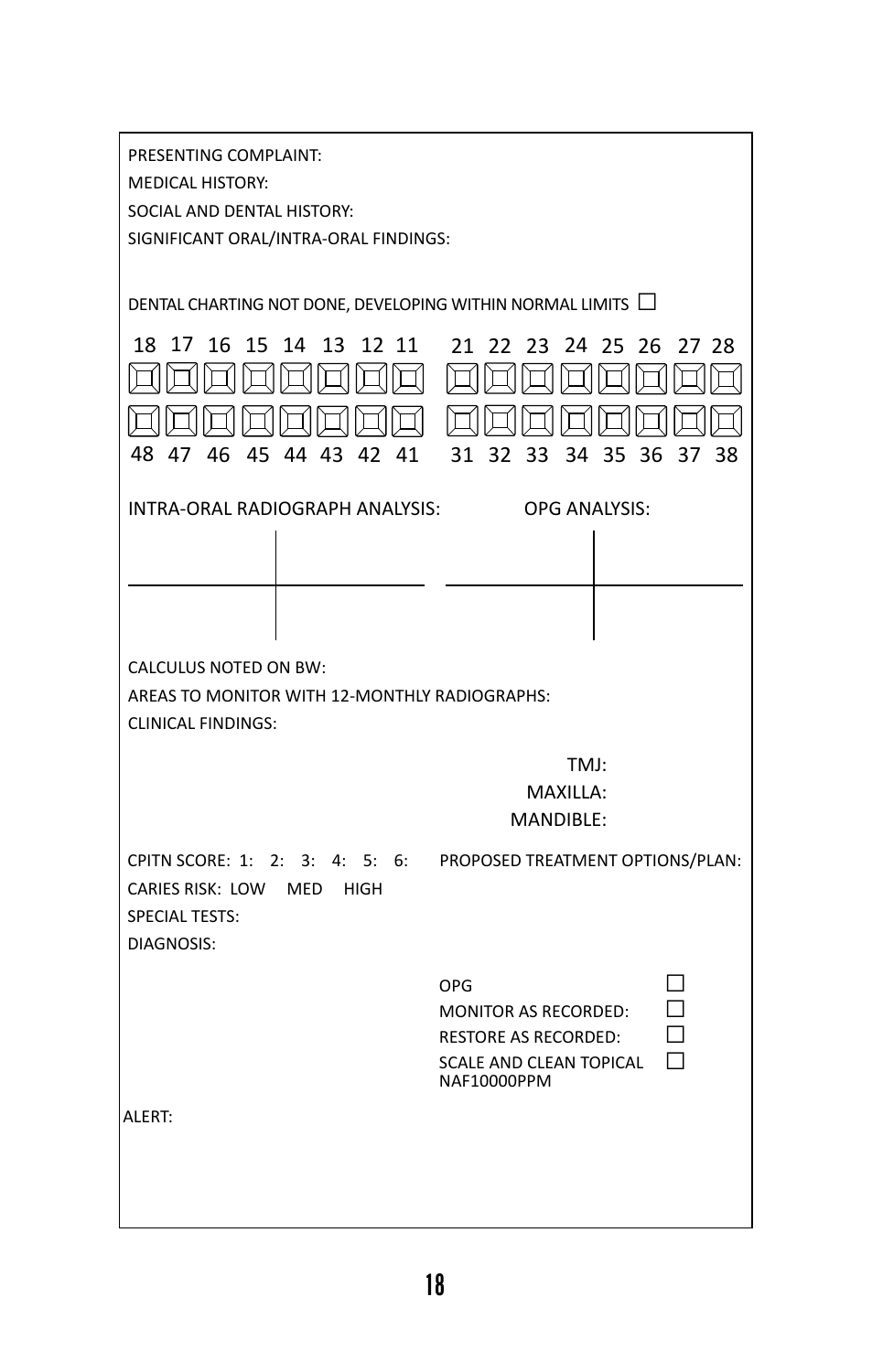| PRESENTING COMPLAINT:<br><b>MEDICAL HISTORY:</b><br>SOCIAL AND DENTAL HISTORY:<br>SIGNIFICANT ORAL/INTRA-ORAL FINDINGS:        |                                                                                                                                    |  |  |  |
|--------------------------------------------------------------------------------------------------------------------------------|------------------------------------------------------------------------------------------------------------------------------------|--|--|--|
| DENTAL CHARTING NOT DONE, DEVELOPING WITHIN NORMAL LIMITS $\Box$                                                               |                                                                                                                                    |  |  |  |
| 15<br>13<br>12 11<br>18.<br>17<br>16<br>14<br>48<br>47<br>46<br>45 44 43<br>42 41                                              | 21 22<br>23<br>24 25<br>26<br>27 28<br>-35<br>31<br>32<br>33<br>34<br>-36<br>37<br>38                                              |  |  |  |
| INTRA-ORAL RADIOGRAPH ANALYSIS:                                                                                                | <b>OPG ANALYSIS:</b>                                                                                                               |  |  |  |
|                                                                                                                                |                                                                                                                                    |  |  |  |
|                                                                                                                                |                                                                                                                                    |  |  |  |
|                                                                                                                                |                                                                                                                                    |  |  |  |
| <b>CALCULUS NOTED ON BW:</b><br>AREAS TO MONITOR WITH 12-MONTHLY RADIOGRAPHS:<br><b>CLINICAL FINDINGS:</b>                     |                                                                                                                                    |  |  |  |
|                                                                                                                                | TMJ:<br>MAXILLA:<br><b>MANDIBLE:</b>                                                                                               |  |  |  |
| CPITN SCORE: 1: 2: 3:<br>4:5:6:<br>CARIES RISK: LOW<br><b>HIGH</b><br><b>MED</b><br><b>SPECIAL TESTS:</b><br><b>DIAGNOSIS:</b> | PROPOSED TREATMENT OPTIONS/PLAN:                                                                                                   |  |  |  |
|                                                                                                                                | ΙI<br>OPG<br><b>MONITOR AS RECORDED:</b><br>П<br><b>RESTORE AS RECORDED:</b><br>Г<br><b>SCALE AND CLEAN TOPICAL</b><br>NAF10000PPM |  |  |  |
| ALERT:                                                                                                                         |                                                                                                                                    |  |  |  |
|                                                                                                                                |                                                                                                                                    |  |  |  |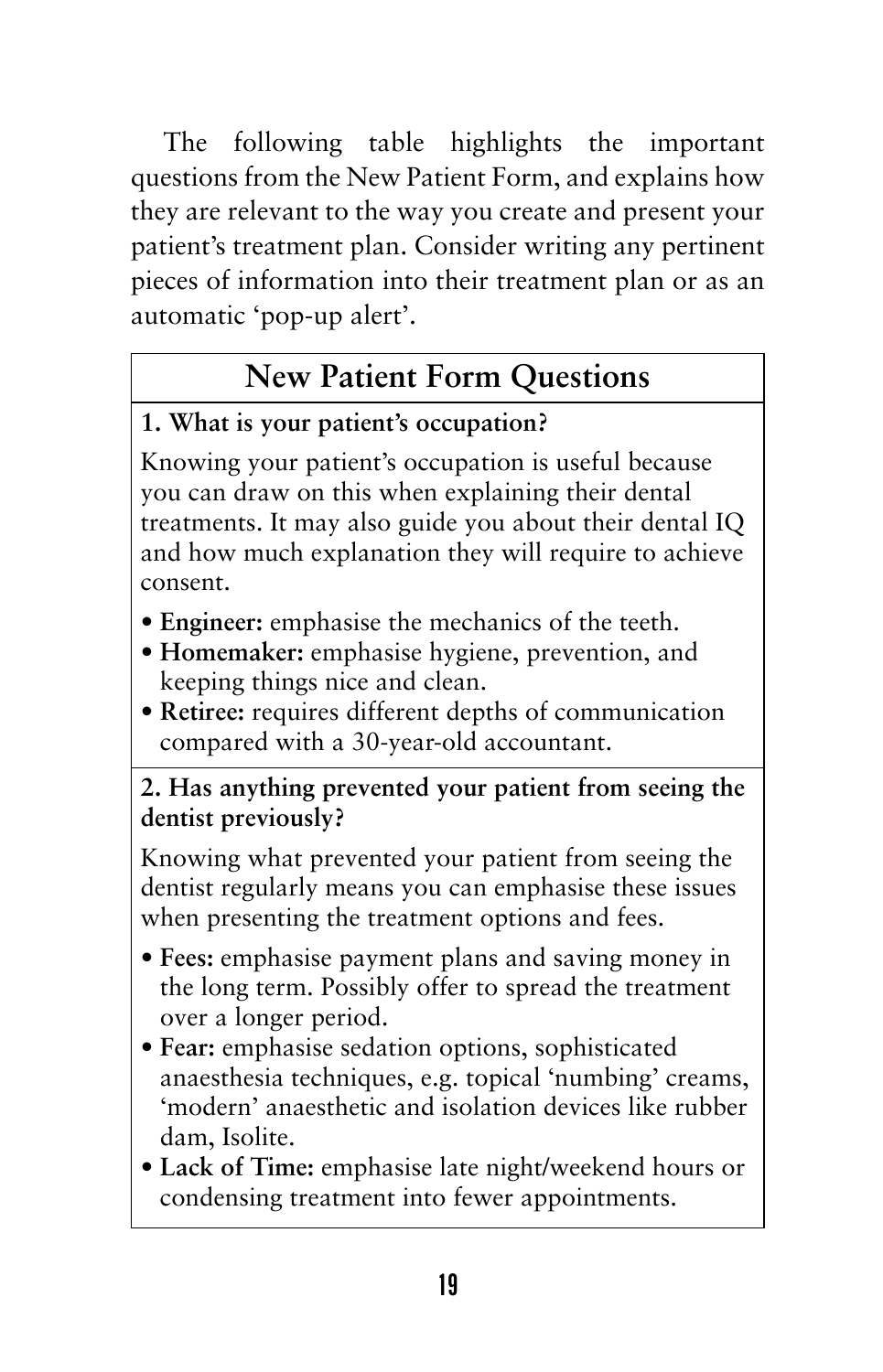The following table highlights the important questions from the New Patient Form, and explains how they are relevant to the way you create and present your patient's treatment plan. Consider writing any pertinent pieces of information into their treatment plan or as an automatic 'pop-up alert'.

# **New Patient Form Questions**

### **1. What is your patient's occupation?**

Knowing your patient's occupation is useful because you can draw on this when explaining their dental treatments. It may also guide you about their dental IQ and how much explanation they will require to achieve consent.

- **• Engineer:** emphasise the mechanics of the teeth.
- **• Homemaker:** emphasise hygiene, prevention, and keeping things nice and clean.
- **• Retiree:** requires different depths of communication compared with a 30-year-old accountant.

### **2. Has anything prevented your patient from seeing the dentist previously?**

Knowing what prevented your patient from seeing the dentist regularly means you can emphasise these issues when presenting the treatment options and fees.

- **• Fees:** emphasise payment plans and saving money in the long term. Possibly offer to spread the treatment over a longer period.
- **• Fear:** emphasise sedation options, sophisticated anaesthesia techniques, e.g. topical 'numbing' creams, 'modern' anaesthetic and isolation devices like rubber dam, Isolite.
- **• Lack of Time:** emphasise late night/weekend hours or condensing treatment into fewer appointments.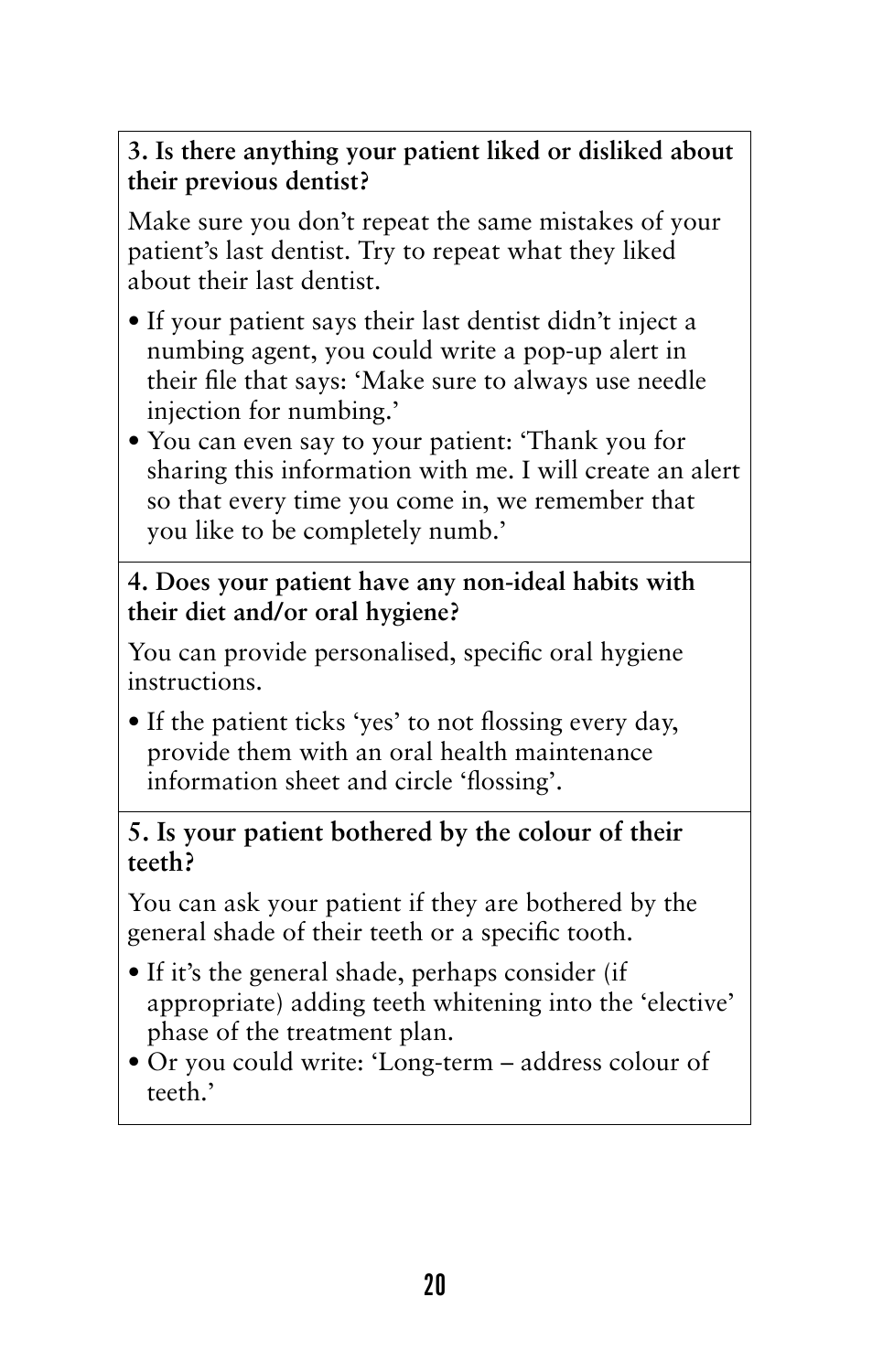**3. Is there anything your patient liked or disliked about their previous dentist?**

Make sure you don't repeat the same mistakes of your patient's last dentist. Try to repeat what they liked about their last dentist.

- • If your patient says their last dentist didn't inject a numbing agent, you could write a pop-up alert in their file that says: 'Make sure to always use needle injection for numbing.'
- You can even say to your patient: 'Thank you for sharing this information with me. I will create an alert so that every time you come in, we remember that you like to be completely numb.'

### **4. Does your patient have any non-ideal habits with their diet and/or oral hygiene?**

You can provide personalised, specific oral hygiene instructions.

• If the patient ticks 'yes' to not flossing every day, provide them with an oral health maintenance information sheet and circle 'flossing'.

### **5. Is your patient bothered by the colour of their teeth?**

You can ask your patient if they are bothered by the general shade of their teeth or a specific tooth.

- If it's the general shade, perhaps consider (if appropriate) adding teeth whitening into the 'elective' phase of the treatment plan.
- • Or you could write: 'Long-term address colour of teeth.'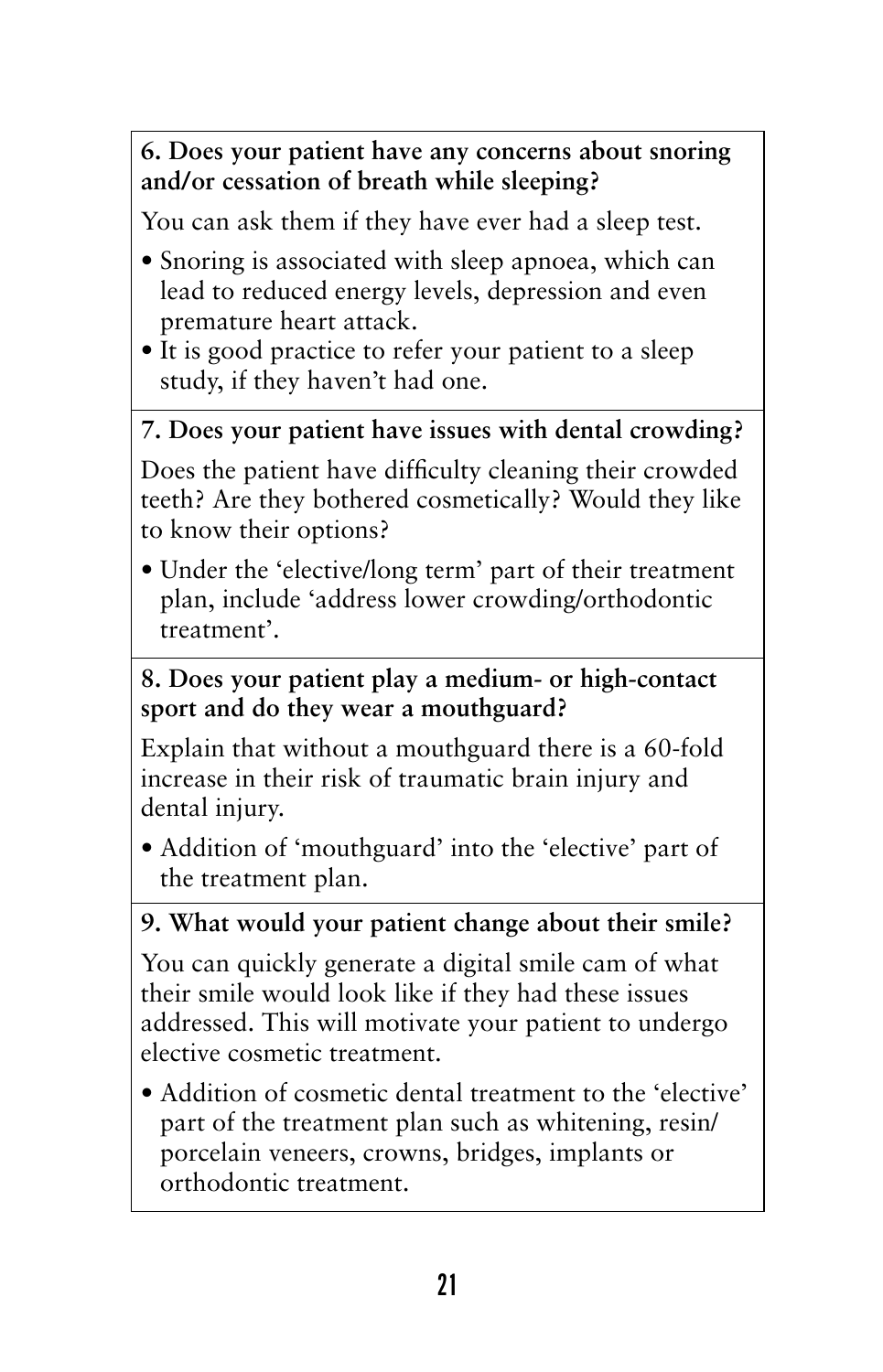### **6. Does your patient have any concerns about snoring and/or cessation of breath while sleeping?**

You can ask them if they have ever had a sleep test.

- Snoring is associated with sleep apnoea, which can lead to reduced energy levels, depression and even premature heart attack.
- It is good practice to refer your patient to a sleep study, if they haven't had one.

### **7. Does your patient have issues with dental crowding?**

Does the patient have difficulty cleaning their crowded teeth? Are they bothered cosmetically? Would they like to know their options?

• Under the 'elective/long term' part of their treatment plan, include 'address lower crowding/orthodontic treatment'.

### **8. Does your patient play a medium- or high-contact sport and do they wear a mouthguard?**

Explain that without a mouthguard there is a 60-fold increase in their risk of traumatic brain injury and dental injury.

• Addition of 'mouthguard' into the 'elective' part of the treatment plan.

### **9. What would your patient change about their smile?**

You can quickly generate a digital smile cam of what their smile would look like if they had these issues addressed. This will motivate your patient to undergo elective cosmetic treatment.

• Addition of cosmetic dental treatment to the 'elective' part of the treatment plan such as whitening, resin/ porcelain veneers, crowns, bridges, implants or orthodontic treatment.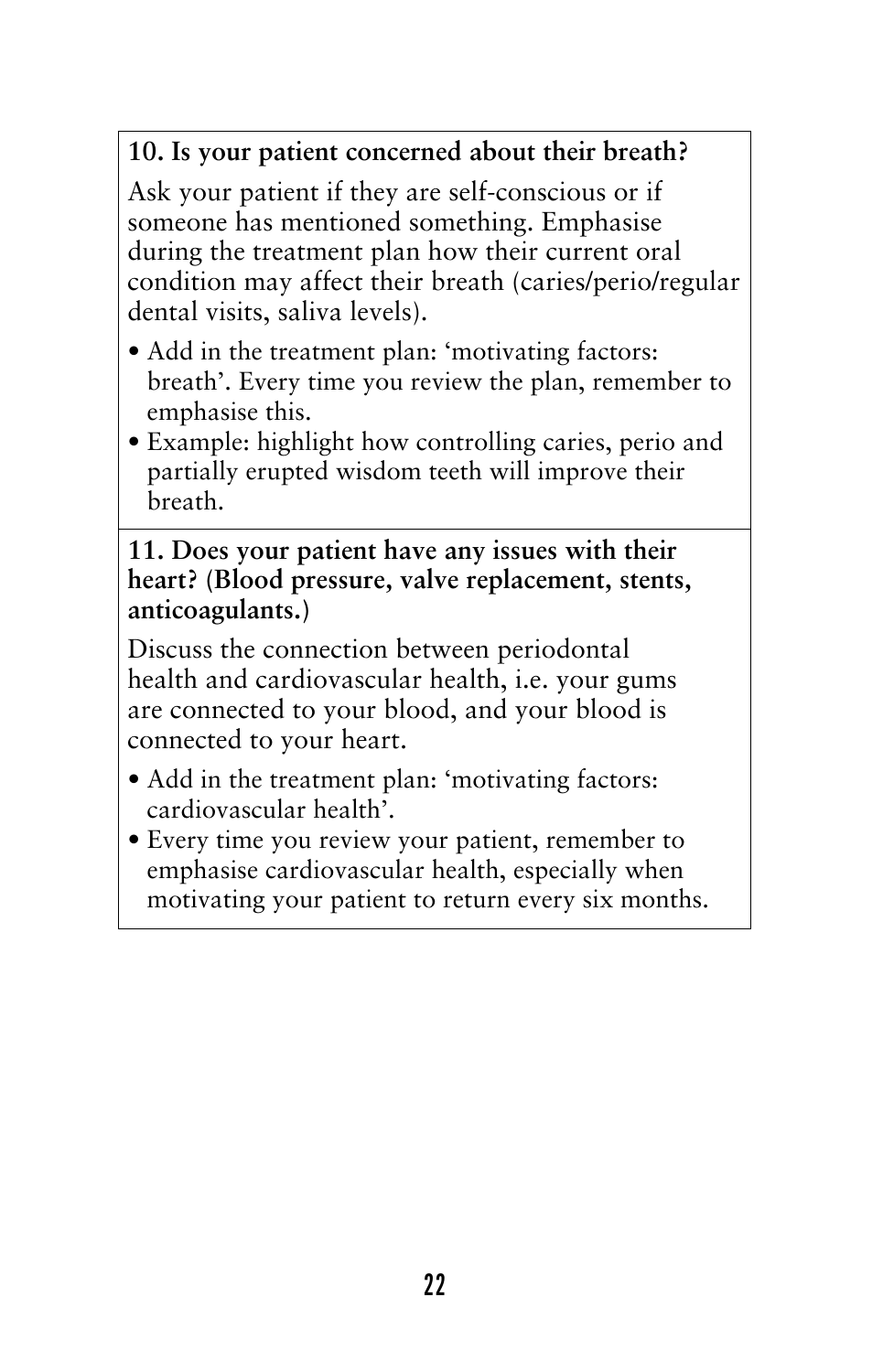### **10. Is your patient concerned about their breath?**

Ask your patient if they are self-conscious or if someone has mentioned something. Emphasise during the treatment plan how their current oral condition may affect their breath (caries/perio/regular dental visits, saliva levels).

- Add in the treatment plan: 'motivating factors: breath'. Every time you review the plan, remember to emphasise this.
- Example: highlight how controlling caries, perio and partially erupted wisdom teeth will improve their breath.

### **11. Does your patient have any issues with their heart? (Blood pressure, valve replacement, stents, anticoagulants.)**

Discuss the connection between periodontal health and cardiovascular health, i.e. your gums are connected to your blood, and your blood is connected to your heart.

- Add in the treatment plan: 'motivating factors: cardiovascular health'.
- Every time you review your patient, remember to emphasise cardiovascular health, especially when motivating your patient to return every six months.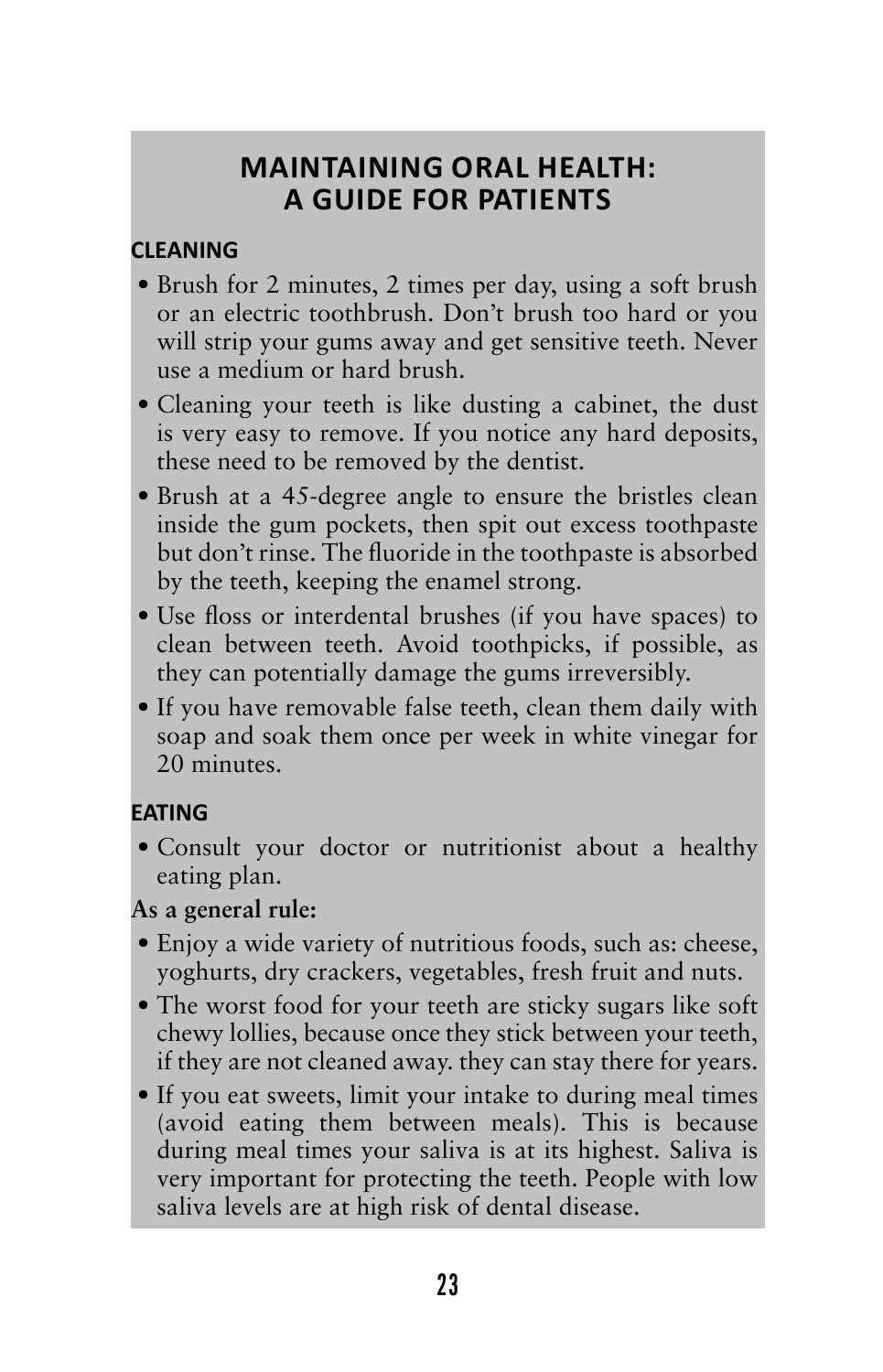### **Maintaining Oral Health: A Guide for Patients**

### **CLEANING**

- Brush for 2 minutes, 2 times per day, using a soft brush or an electric toothbrush. Don't brush too hard or you will strip your gums away and get sensitive teeth. Never use a medium or hard brush.
- Cleaning your teeth is like dusting a cabinet, the dust is very easy to remove. If you notice any hard deposits, these need to be removed by the dentist.
- Brush at a 45-degree angle to ensure the bristles clean inside the gum pockets, then spit out excess toothpaste but don't rinse. The fluoride in the toothpaste is absorbed by the teeth, keeping the enamel strong.
- Use floss or interdental brushes (if you have spaces) to clean between teeth. Avoid toothpicks, if possible, as they can potentially damage the gums irreversibly.
- If you have removable false teeth, clean them daily with soap and soak them once per week in white vinegar for 20 minutes.

### **EATING**

• Consult your doctor or nutritionist about a healthy eating plan.

### **As a general rule:**

- Enjoy a wide variety of nutritious foods, such as: cheese, yoghurts, dry crackers, vegetables, fresh fruit and nuts.
- The worst food for your teeth are sticky sugars like soft chewy lollies, because once they stick between your teeth, if they are not cleaned away. they can stay there for years.
- If you eat sweets, limit your intake to during meal times (avoid eating them between meals). This is because during meal times your saliva is at its highest. Saliva is very important for protecting the teeth. People with low saliva levels are at high risk of dental disease.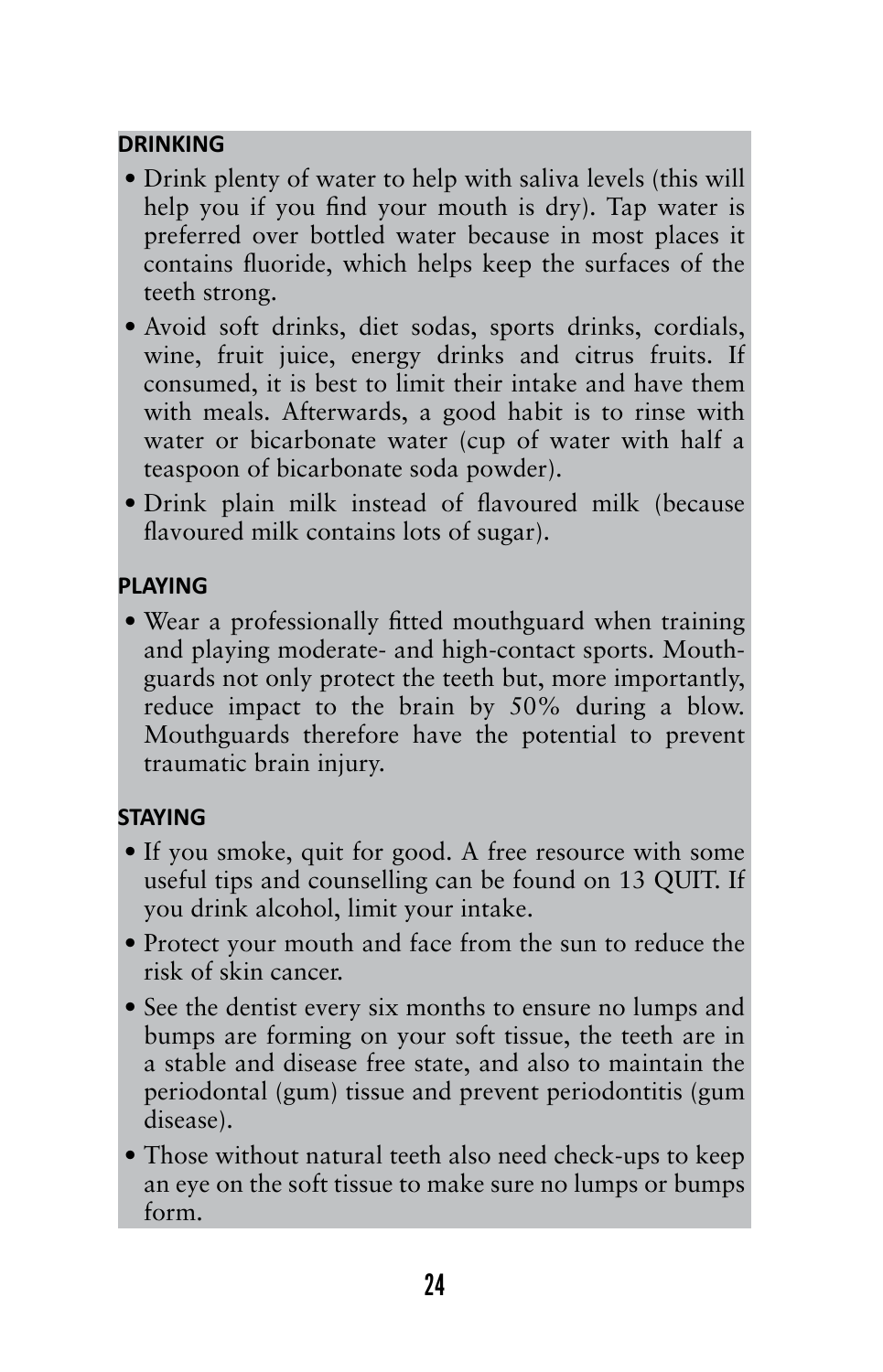### **DRINKING**

- Drink plenty of water to help with saliva levels (this will help you if you find your mouth is dry). Tap water is preferred over bottled water because in most places it contains fluoride, which helps keep the surfaces of the teeth strong.
- Avoid soft drinks, diet sodas, sports drinks, cordials, wine, fruit juice, energy drinks and citrus fruits. If consumed, it is best to limit their intake and have them with meals. Afterwards, a good habit is to rinse with water or bicarbonate water (cup of water with half a teaspoon of bicarbonate soda powder).
- • Drink plain milk instead of flavoured milk (because flavoured milk contains lots of sugar).

### **PLAYING**

• Wear a professionally fitted mouthguard when training and playing moderate- and high-contact sports. Mouthguards not only protect the teeth but, more importantly, reduce impact to the brain by 50% during a blow. Mouthguards therefore have the potential to prevent traumatic brain injury.

### **STAYING**

- If you smoke, quit for good. A free resource with some useful tips and counselling can be found on 13 QUIT. If you drink alcohol, limit your intake.
- Protect your mouth and face from the sun to reduce the risk of skin cancer.
- See the dentist every six months to ensure no lumps and bumps are forming on your soft tissue, the teeth are in a stable and disease free state, and also to maintain the periodontal (gum) tissue and prevent periodontitis (gum disease).
- Those without natural teeth also need check-ups to keep an eye on the soft tissue to make sure no lumps or bumps form.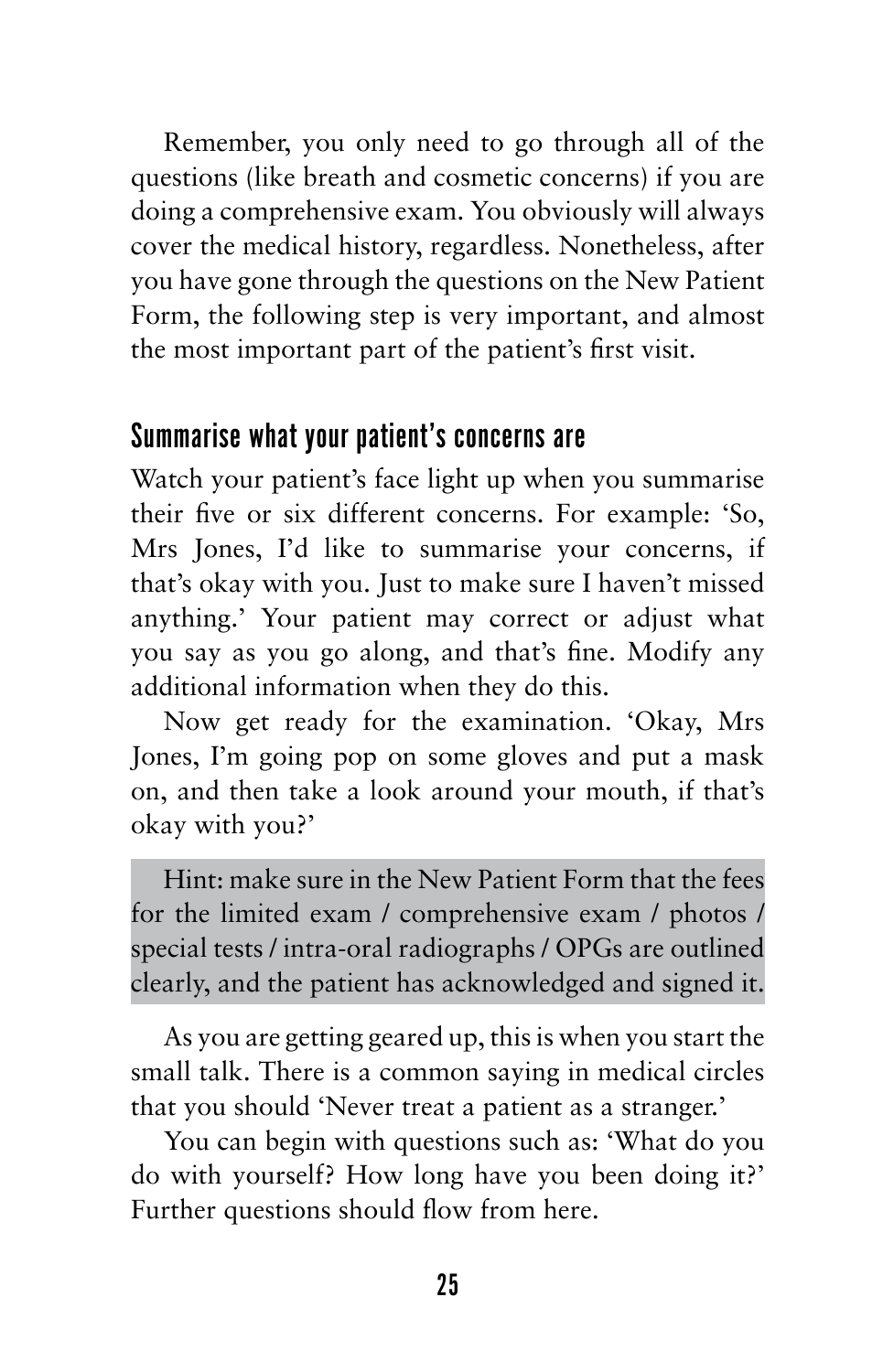Remember, you only need to go through all of the questions (like breath and cosmetic concerns) if you are doing a comprehensive exam. You obviously will always cover the medical history, regardless. Nonetheless, after you have gone through the questions on the New Patient Form, the following step is very important, and almost the most important part of the patient's first visit.

### Summarise what your patient's concerns are

Watch your patient's face light up when you summarise their five or six different concerns. For example: 'So, Mrs Jones, I'd like to summarise your concerns, if that's okay with you. Just to make sure I haven't missed anything.' Your patient may correct or adjust what you say as you go along, and that's fine. Modify any additional information when they do this.

Now get ready for the examination. 'Okay, Mrs Jones, I'm going pop on some gloves and put a mask on, and then take a look around your mouth, if that's okay with you?'

Hint: make sure in the New Patient Form that the fees for the limited exam / comprehensive exam / photos / special tests / intra-oral radiographs / OPGs are outlined clearly, and the patient has acknowledged and signed it.

As you are getting geared up, this is when you start the small talk. There is a common saying in medical circles that you should 'Never treat a patient as a stranger.'

You can begin with questions such as: 'What do you do with yourself? How long have you been doing it?' Further questions should flow from here.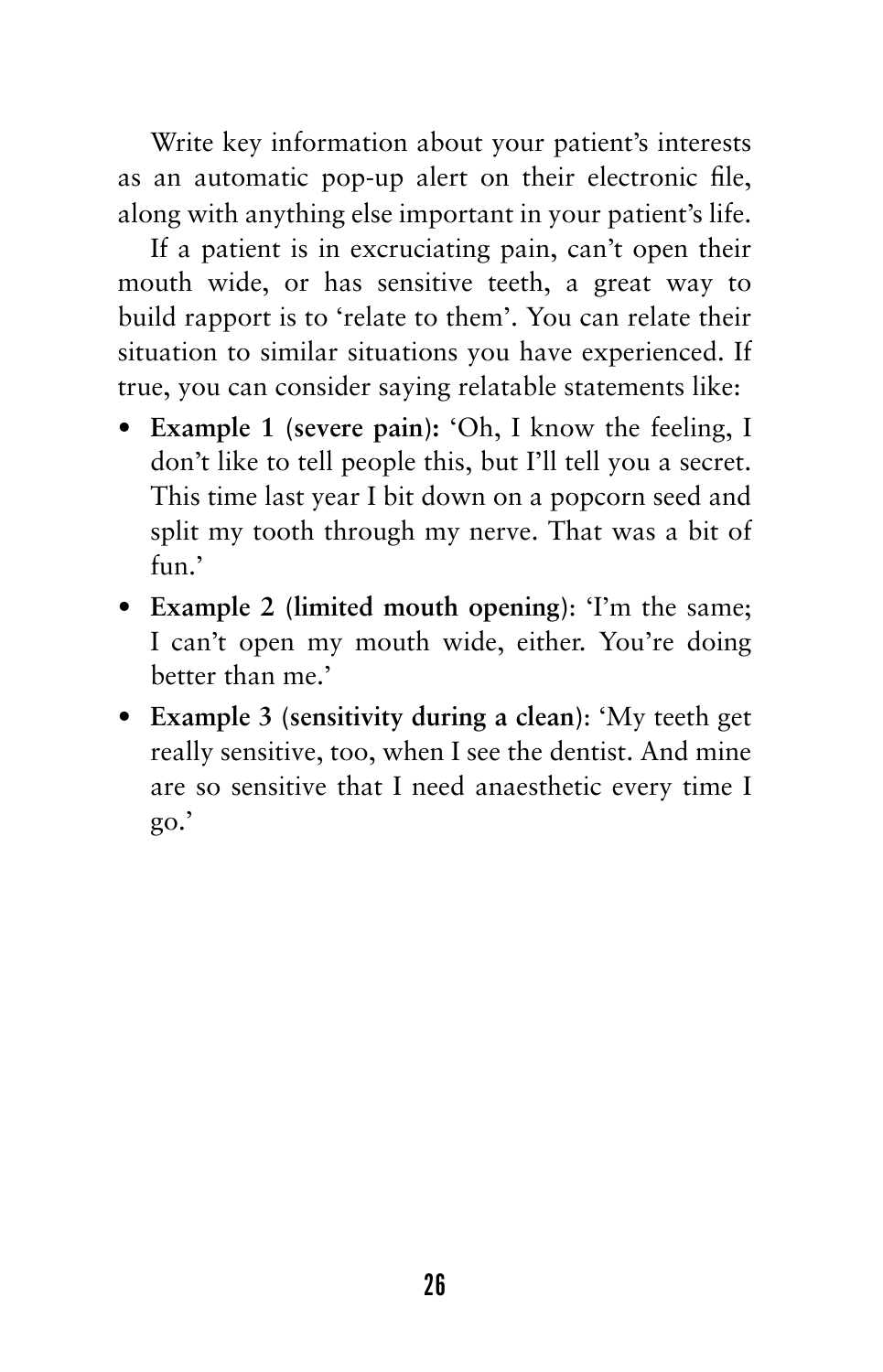Write key information about your patient's interests as an automatic pop-up alert on their electronic file, along with anything else important in your patient's life.

If a patient is in excruciating pain, can't open their mouth wide, or has sensitive teeth, a great way to build rapport is to 'relate to them'. You can relate their situation to similar situations you have experienced. If true, you can consider saying relatable statements like:

- **• Example 1 (severe pain):** 'Oh, I know the feeling, I don't like to tell people this, but I'll tell you a secret. This time last year I bit down on a popcorn seed and split my tooth through my nerve. That was a bit of fun.'
- **• Example 2 (limited mouth opening)**: 'I'm the same; I can't open my mouth wide, either. You're doing better than me.'
- **• Example 3 (sensitivity during a clean)**: 'My teeth get really sensitive, too, when I see the dentist. And mine are so sensitive that I need anaesthetic every time I go.'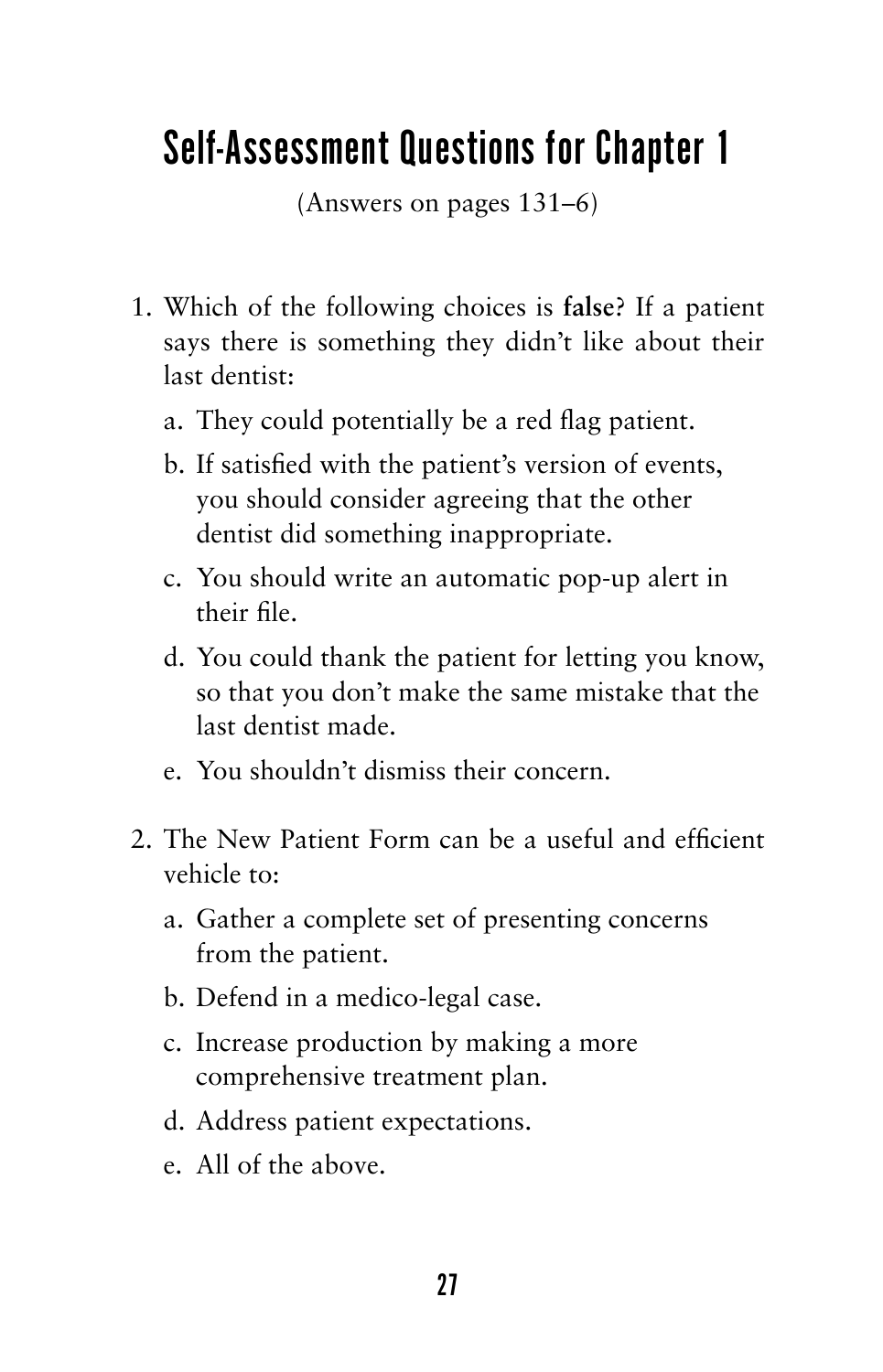# Self-Assessment Questions for Chapter 1

(Answers on pages 131–6)

- 1. Which of the following choices is **false**? If a patient says there is something they didn't like about their last dentist:
	- a. They could potentially be a red flag patient.
	- b. If satisfied with the patient's version of events, you should consider agreeing that the other dentist did something inappropriate.
	- c. You should write an automatic pop-up alert in their file.
	- d. You could thank the patient for letting you know, so that you don't make the same mistake that the last dentist made.
	- e. You shouldn't dismiss their concern.
- 2. The New Patient Form can be a useful and efficient vehicle to:
	- a. Gather a complete set of presenting concerns from the patient.
	- b. Defend in a medico-legal case.
	- c. Increase production by making a more comprehensive treatment plan.
	- d. Address patient expectations.
	- e. All of the above.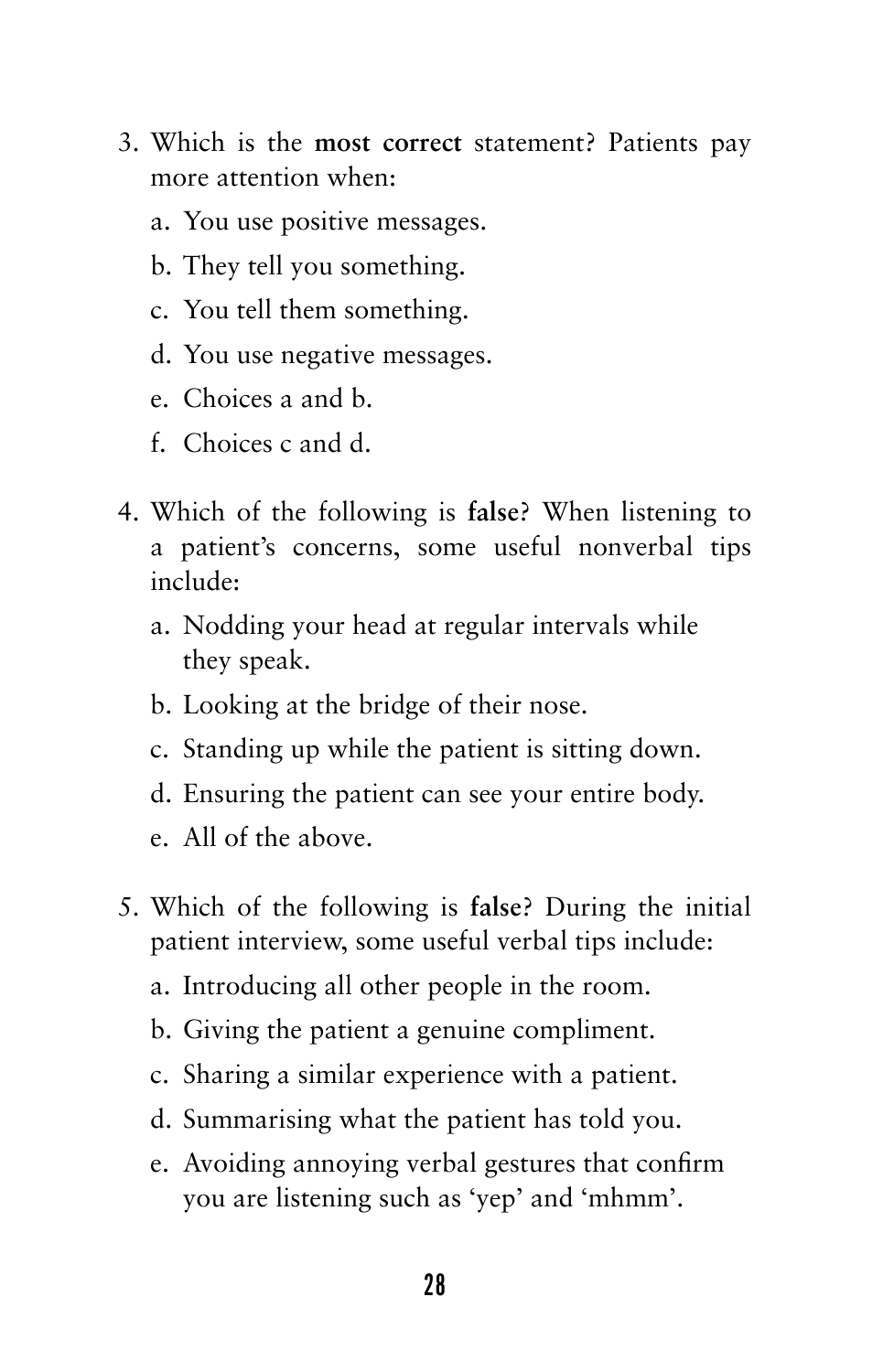- 3. Which is the **most correct** statement? Patients pay more attention when:
	- a. You use positive messages.
	- b. They tell you something.
	- c. You tell them something.
	- d. You use negative messages.
	- e. Choices a and b.
	- f. Choices c and d.
- 4. Which of the following is **false**? When listening to a patient's concerns, some useful nonverbal tips include:
	- a. Nodding your head at regular intervals while they speak.
	- b. Looking at the bridge of their nose.
	- c. Standing up while the patient is sitting down.
	- d. Ensuring the patient can see your entire body.
	- e. All of the above.
- 5. Which of the following is **false**? During the initial patient interview, some useful verbal tips include:
	- a. Introducing all other people in the room.
	- b. Giving the patient a genuine compliment.
	- c. Sharing a similar experience with a patient.
	- d. Summarising what the patient has told you.
	- e. Avoiding annoying verbal gestures that confirm you are listening such as 'yep' and 'mhmm'.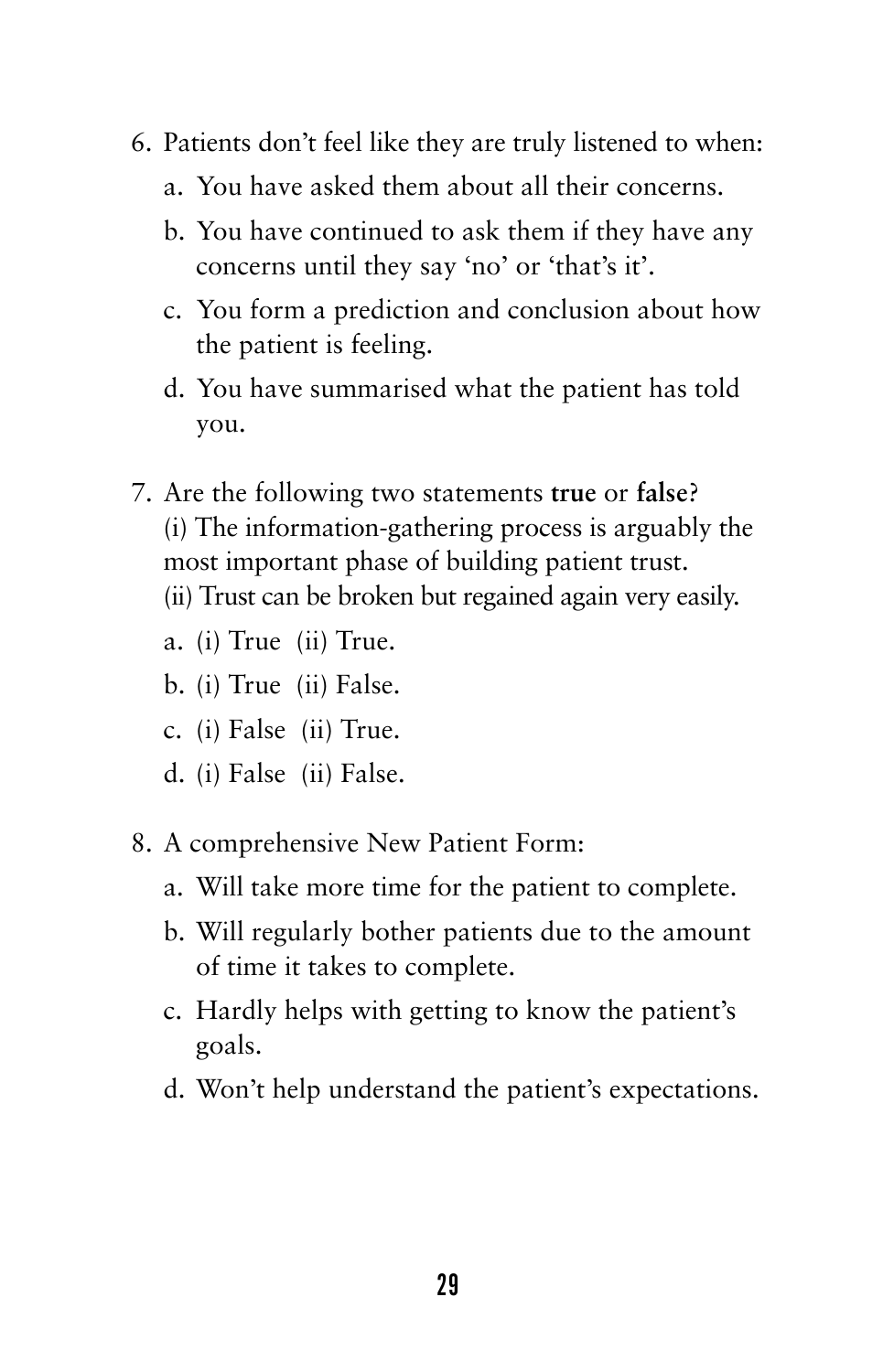- 6. Patients don't feel like they are truly listened to when:
	- a. You have asked them about all their concerns.
	- b. You have continued to ask them if they have any concerns until they say 'no' or 'that's it'.
	- c. You form a prediction and conclusion about how the patient is feeling.
	- d. You have summarised what the patient has told you.
- 7. Are the following two statements **true** or **false**? (i) The information-gathering process is arguably the most important phase of building patient trust. (ii) Trust can be broken but regained again very easily.
	- a. (i) True (ii) True.
	- b. (i) True (ii) False.
	- c. (i) False (ii) True.
	- d. (i) False (ii) False.
- 8. A comprehensive New Patient Form:
	- a. Will take more time for the patient to complete.
	- b. Will regularly bother patients due to the amount of time it takes to complete.
	- c. Hardly helps with getting to know the patient's goals.
	- d. Won't help understand the patient's expectations.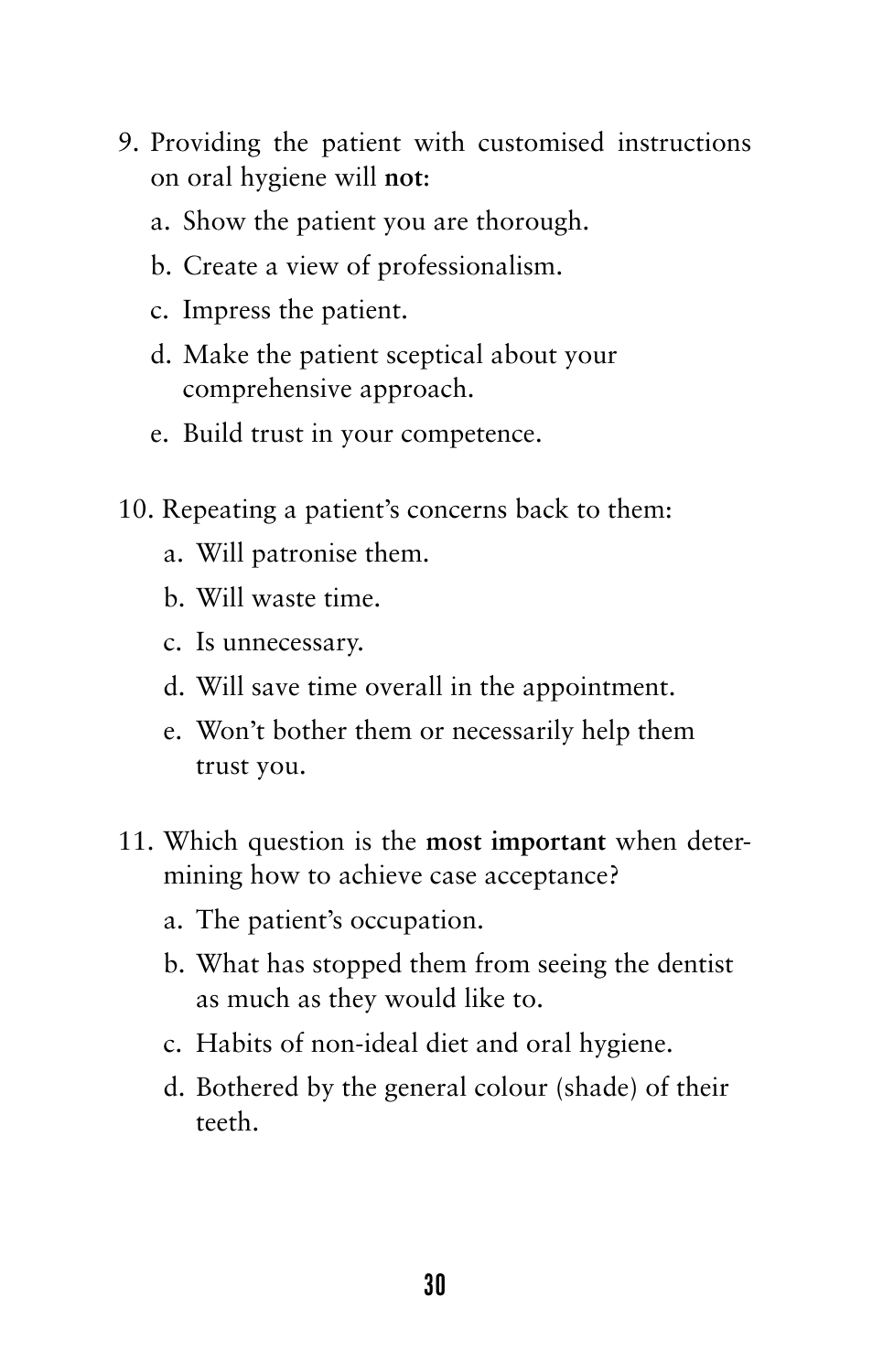- 9. Providing the patient with customised instructions on oral hygiene will **not**:
	- a. Show the patient you are thorough.
	- b. Create a view of professionalism.
	- c. Impress the patient.
	- d. Make the patient sceptical about your comprehensive approach.
	- e. Build trust in your competence.
- 10. Repeating a patient's concerns back to them:
	- a. Will patronise them.
	- b. Will waste time.
	- c. Is unnecessary.
	- d. Will save time overall in the appointment.
	- e. Won't bother them or necessarily help them trust you.
- 11. Which question is the **most important** when determining how to achieve case acceptance?
	- a. The patient's occupation.
	- b. What has stopped them from seeing the dentist as much as they would like to.
	- c. Habits of non-ideal diet and oral hygiene.
	- d. Bothered by the general colour (shade) of their teeth.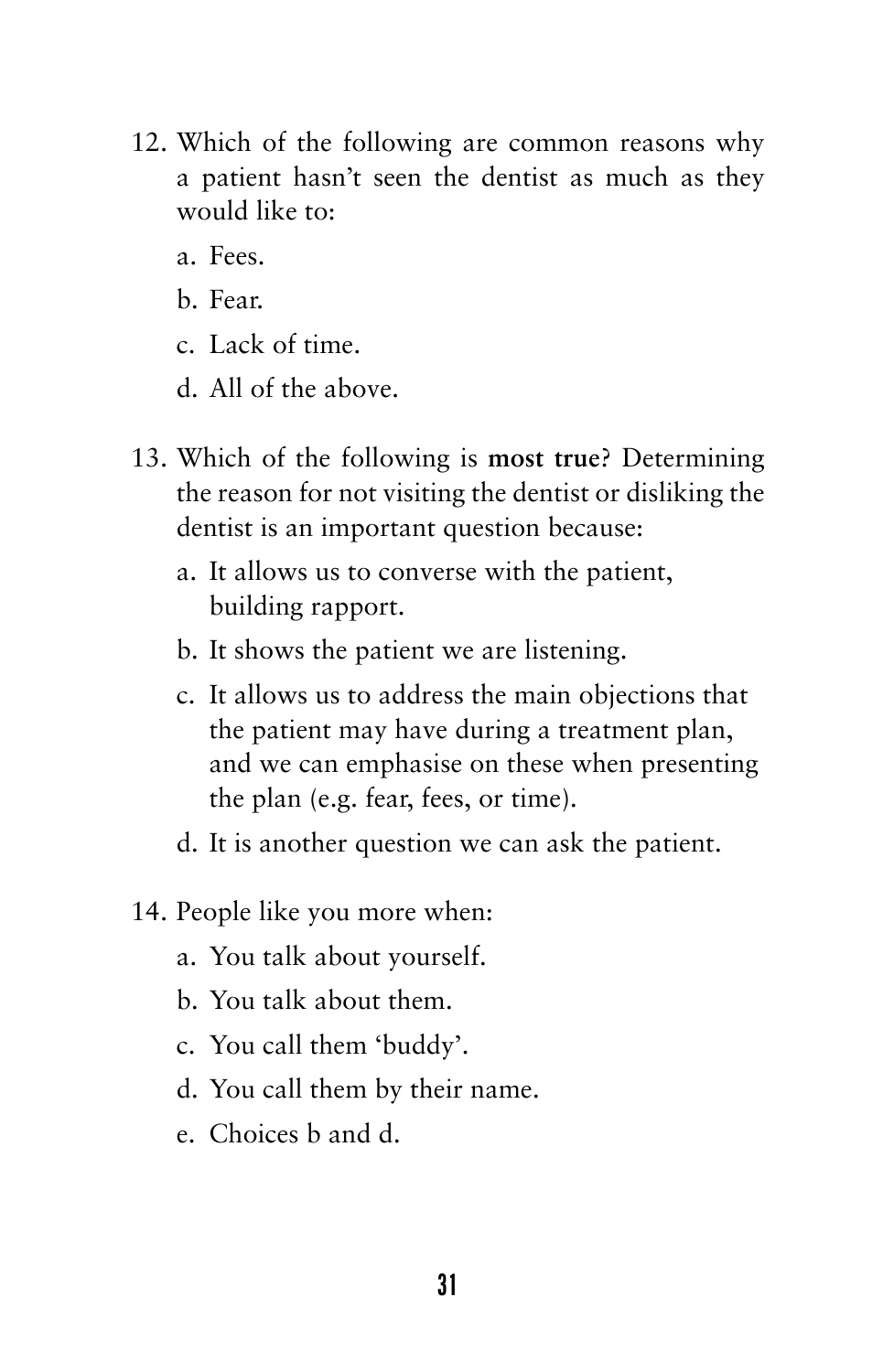- 12. Which of the following are common reasons why a patient hasn't seen the dentist as much as they would like to:
	- a. Fees.
	- b. Fear.
	- c. Lack of time.
	- d. All of the above.
- 13. Which of the following is **most true**? Determining the reason for not visiting the dentist or disliking the dentist is an important question because:
	- a. It allows us to converse with the patient, building rapport.
	- b. It shows the patient we are listening.
	- c. It allows us to address the main objections that the patient may have during a treatment plan, and we can emphasise on these when presenting the plan (e.g. fear, fees, or time).
	- d. It is another question we can ask the patient.
- 14. People like you more when:
	- a. You talk about yourself.
	- b. You talk about them.
	- c. You call them 'buddy'.
	- d. You call them by their name.
	- e. Choices b and d.